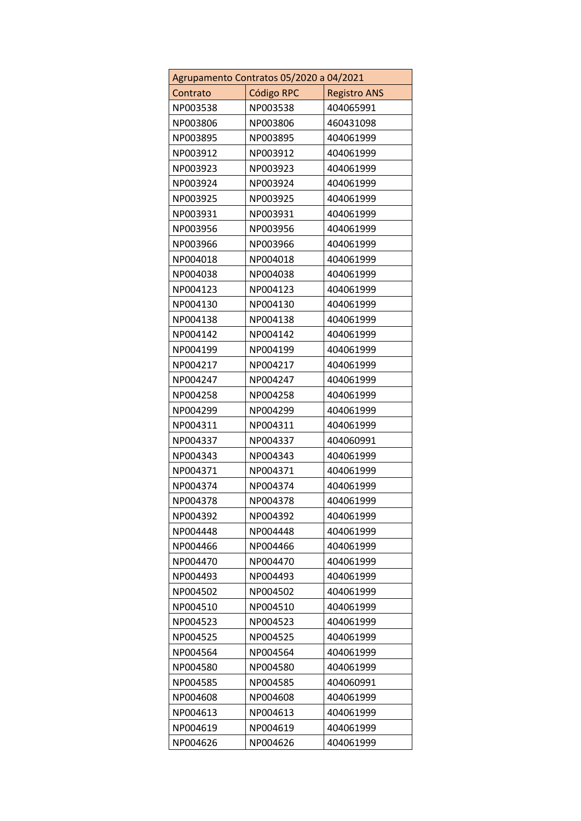| Agrupamento Contratos 05/2020 a 04/2021 |            |                     |
|-----------------------------------------|------------|---------------------|
| Contrato                                | Código RPC | <b>Registro ANS</b> |
| NP003538                                | NP003538   | 404065991           |
| NP003806                                | NP003806   | 460431098           |
| NP003895                                | NP003895   | 404061999           |
| NP003912                                | NP003912   | 404061999           |
| NP003923                                | NP003923   | 404061999           |
| NP003924                                | NP003924   | 404061999           |
| NP003925                                | NP003925   | 404061999           |
| NP003931                                | NP003931   | 404061999           |
| NP003956                                | NP003956   | 404061999           |
| NP003966                                | NP003966   | 404061999           |
| NP004018                                | NP004018   | 404061999           |
| NP004038                                | NP004038   | 404061999           |
| NP004123                                | NP004123   | 404061999           |
| NP004130                                | NP004130   | 404061999           |
| NP004138                                | NP004138   | 404061999           |
| NP004142                                | NP004142   | 404061999           |
| NP004199                                | NP004199   | 404061999           |
| NP004217                                | NP004217   | 404061999           |
| NP004247                                | NP004247   | 404061999           |
| NP004258                                | NP004258   | 404061999           |
| NP004299                                | NP004299   | 404061999           |
| NP004311                                | NP004311   | 404061999           |
| NP004337                                | NP004337   | 404060991           |
| NP004343                                | NP004343   | 404061999           |
| NP004371                                | NP004371   | 404061999           |
| NP004374                                | NP004374   | 404061999           |
| NP004378                                | NP004378   | 404061999           |
| NP004392                                | NP004392   | 404061999           |
| NP004448                                | NP004448   | 404061999           |
| NP004466                                | NP004466   | 404061999           |
| NP004470                                | NP004470   | 404061999           |
| NP004493                                | NP004493   | 404061999           |
| NP004502                                | NP004502   | 404061999           |
| NP004510                                | NP004510   | 404061999           |
| NP004523                                | NP004523   | 404061999           |
| NP004525                                | NP004525   | 404061999           |
| NP004564                                | NP004564   | 404061999           |
| NP004580                                | NP004580   | 404061999           |
| NP004585                                | NP004585   | 404060991           |
| NP004608                                | NP004608   | 404061999           |
| NP004613                                | NP004613   | 404061999           |
| NP004619                                | NP004619   | 404061999           |
| NP004626                                | NP004626   | 404061999           |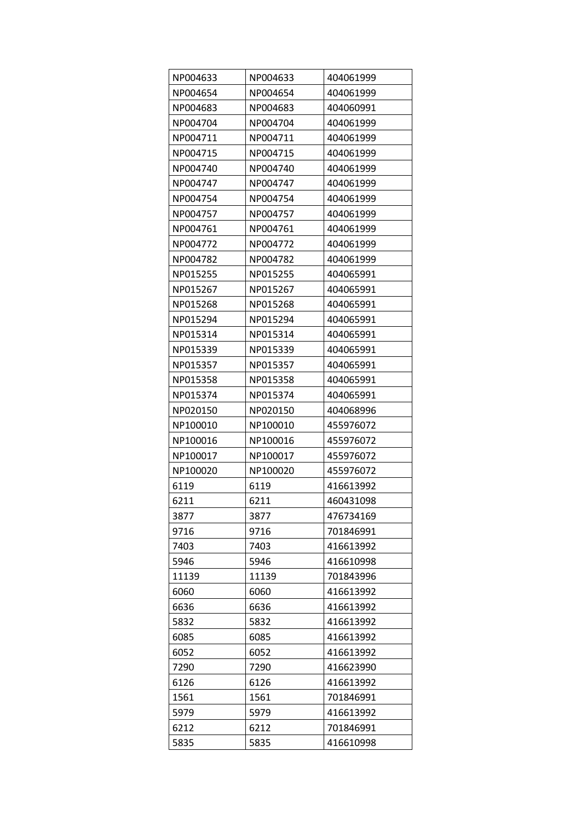| NP004633 | NP004633 | 404061999 |
|----------|----------|-----------|
| NP004654 | NP004654 | 404061999 |
| NP004683 | NP004683 | 404060991 |
| NP004704 | NP004704 | 404061999 |
| NP004711 | NP004711 | 404061999 |
| NP004715 | NP004715 | 404061999 |
| NP004740 | NP004740 | 404061999 |
| NP004747 | NP004747 | 404061999 |
| NP004754 | NP004754 | 404061999 |
| NP004757 | NP004757 | 404061999 |
| NP004761 | NP004761 | 404061999 |
| NP004772 | NP004772 | 404061999 |
| NP004782 | NP004782 | 404061999 |
| NP015255 | NP015255 | 404065991 |
| NP015267 | NP015267 | 404065991 |
| NP015268 | NP015268 | 404065991 |
| NP015294 | NP015294 | 404065991 |
| NP015314 | NP015314 | 404065991 |
| NP015339 | NP015339 | 404065991 |
| NP015357 | NP015357 | 404065991 |
| NP015358 | NP015358 | 404065991 |
| NP015374 | NP015374 | 404065991 |
| NP020150 | NP020150 | 404068996 |
| NP100010 | NP100010 | 455976072 |
| NP100016 | NP100016 | 455976072 |
| NP100017 | NP100017 | 455976072 |
| NP100020 | NP100020 | 455976072 |
| 6119     | 6119     | 416613992 |
| 6211     | 6211     | 460431098 |
| 3877     | 3877     | 476734169 |
| 9716     | 9716     | 701846991 |
| 7403     | 7403     | 416613992 |
| 5946     | 5946     | 416610998 |
| 11139    | 11139    | 701843996 |
| 6060     | 6060     | 416613992 |
| 6636     | 6636     | 416613992 |
| 5832     | 5832     | 416613992 |
| 6085     | 6085     | 416613992 |
| 6052     | 6052     | 416613992 |
| 7290     | 7290     | 416623990 |
| 6126     | 6126     | 416613992 |
| 1561     | 1561     | 701846991 |
| 5979     | 5979     | 416613992 |
| 6212     | 6212     | 701846991 |
| 5835     | 5835     | 416610998 |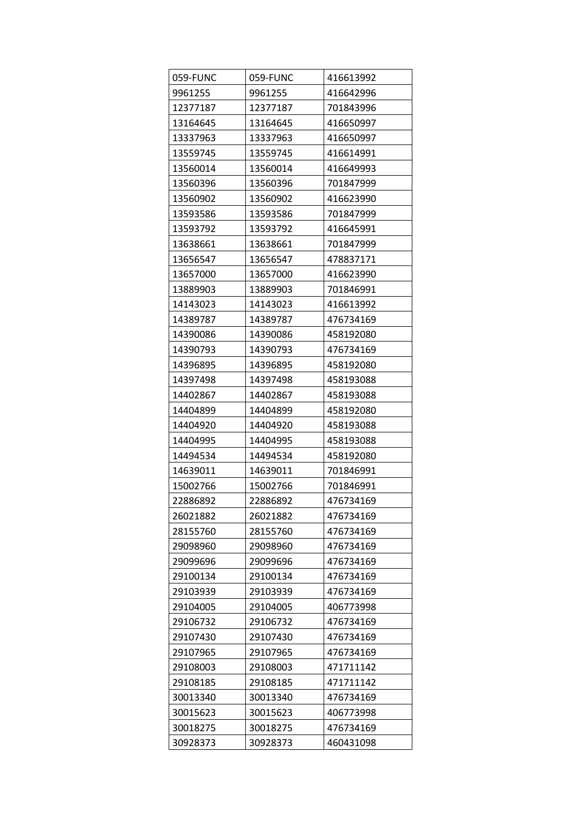| 059-FUNC | 059-FUNC | 416613992 |
|----------|----------|-----------|
| 9961255  | 9961255  | 416642996 |
| 12377187 | 12377187 | 701843996 |
| 13164645 | 13164645 | 416650997 |
| 13337963 | 13337963 | 416650997 |
| 13559745 | 13559745 | 416614991 |
| 13560014 | 13560014 | 416649993 |
| 13560396 | 13560396 | 701847999 |
| 13560902 | 13560902 | 416623990 |
| 13593586 | 13593586 | 701847999 |
| 13593792 | 13593792 | 416645991 |
| 13638661 | 13638661 | 701847999 |
| 13656547 | 13656547 | 478837171 |
| 13657000 | 13657000 | 416623990 |
| 13889903 | 13889903 | 701846991 |
| 14143023 | 14143023 | 416613992 |
| 14389787 | 14389787 | 476734169 |
| 14390086 | 14390086 | 458192080 |
| 14390793 | 14390793 | 476734169 |
| 14396895 | 14396895 | 458192080 |
| 14397498 | 14397498 | 458193088 |
| 14402867 | 14402867 | 458193088 |
| 14404899 | 14404899 | 458192080 |
| 14404920 | 14404920 | 458193088 |
| 14404995 | 14404995 | 458193088 |
| 14494534 | 14494534 | 458192080 |
| 14639011 | 14639011 | 701846991 |
| 15002766 | 15002766 | 701846991 |
| 22886892 | 22886892 | 476734169 |
| 26021882 | 26021882 | 476734169 |
| 28155760 | 28155760 | 476734169 |
| 29098960 | 29098960 | 476734169 |
| 29099696 | 29099696 | 476734169 |
| 29100134 | 29100134 | 476734169 |
| 29103939 | 29103939 | 476734169 |
| 29104005 | 29104005 | 406773998 |
| 29106732 | 29106732 | 476734169 |
| 29107430 | 29107430 | 476734169 |
| 29107965 | 29107965 | 476734169 |
| 29108003 | 29108003 | 471711142 |
| 29108185 | 29108185 | 471711142 |
| 30013340 | 30013340 | 476734169 |
| 30015623 | 30015623 | 406773998 |
| 30018275 | 30018275 | 476734169 |
| 30928373 | 30928373 | 460431098 |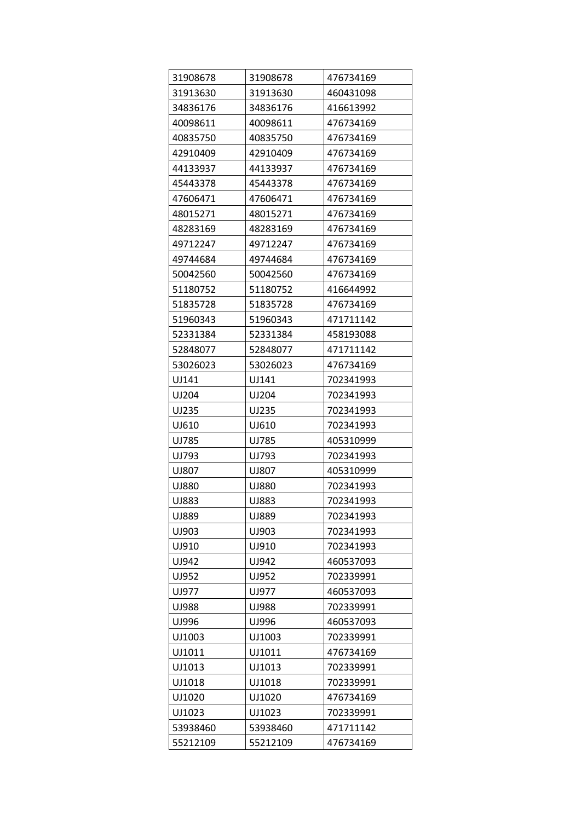| 31908678 | 31908678 | 476734169 |
|----------|----------|-----------|
| 31913630 | 31913630 | 460431098 |
| 34836176 | 34836176 | 416613992 |
| 40098611 | 40098611 | 476734169 |
| 40835750 | 40835750 | 476734169 |
| 42910409 | 42910409 | 476734169 |
| 44133937 | 44133937 | 476734169 |
| 45443378 | 45443378 | 476734169 |
| 47606471 | 47606471 | 476734169 |
| 48015271 | 48015271 | 476734169 |
| 48283169 | 48283169 | 476734169 |
| 49712247 | 49712247 | 476734169 |
| 49744684 | 49744684 | 476734169 |
| 50042560 | 50042560 | 476734169 |
| 51180752 | 51180752 | 416644992 |
| 51835728 | 51835728 | 476734169 |
| 51960343 | 51960343 | 471711142 |
| 52331384 | 52331384 | 458193088 |
| 52848077 | 52848077 | 471711142 |
| 53026023 | 53026023 | 476734169 |
| UJ141    | UJ141    | 702341993 |
| UJ204    | UJ204    | 702341993 |
| UJ235    | UJ235    | 702341993 |
| UJ610    | UJ610    | 702341993 |
| UJ785    | UJ785    | 405310999 |
| UJ793    | UJ793    | 702341993 |
| UJ807    | UJ807    | 405310999 |
| UJ880    | UJ880    | 702341993 |
| UJ883    | UJ883    | 702341993 |
| UJ889    | UJ889    | 702341993 |
| UJ903    | UJ903    | 702341993 |
| UJ910    | UJ910    | 702341993 |
| UJ942    | UJ942    | 460537093 |
| UJ952    | UJ952    | 702339991 |
| UJ977    | UJ977    | 460537093 |
| UJ988    | UJ988    | 702339991 |
| UJ996    | UJ996    | 460537093 |
| UJ1003   | UJ1003   | 702339991 |
| UJ1011   | UJ1011   | 476734169 |
| UJ1013   | UJ1013   | 702339991 |
| UJ1018   | UJ1018   | 702339991 |
| UJ1020   | UJ1020   | 476734169 |
| UJ1023   | UJ1023   | 702339991 |
| 53938460 | 53938460 | 471711142 |
| 55212109 | 55212109 | 476734169 |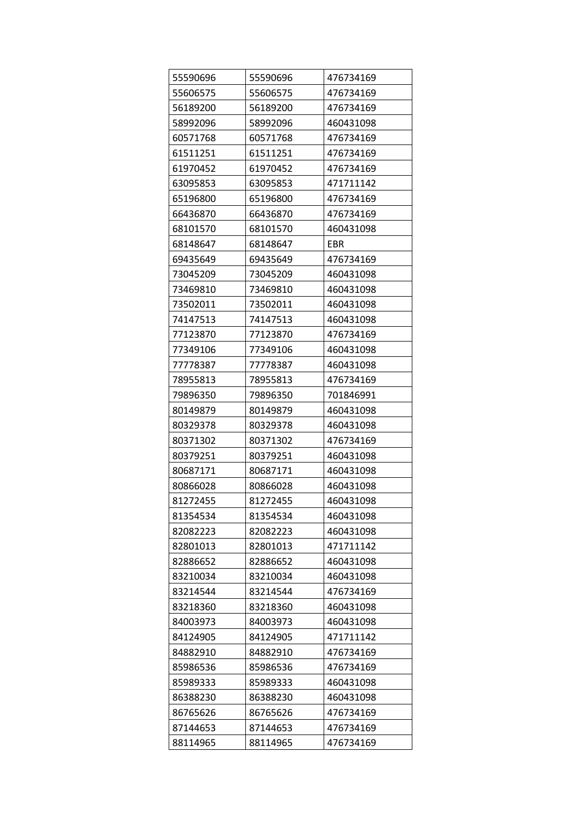| 55590696 | 55590696 | 476734169 |
|----------|----------|-----------|
| 55606575 | 55606575 | 476734169 |
| 56189200 | 56189200 | 476734169 |
| 58992096 | 58992096 | 460431098 |
| 60571768 | 60571768 | 476734169 |
| 61511251 | 61511251 | 476734169 |
| 61970452 | 61970452 | 476734169 |
| 63095853 | 63095853 | 471711142 |
| 65196800 | 65196800 | 476734169 |
| 66436870 | 66436870 | 476734169 |
| 68101570 | 68101570 | 460431098 |
| 68148647 | 68148647 | EBR       |
| 69435649 | 69435649 | 476734169 |
| 73045209 | 73045209 | 460431098 |
| 73469810 | 73469810 | 460431098 |
| 73502011 | 73502011 | 460431098 |
| 74147513 | 74147513 | 460431098 |
| 77123870 | 77123870 | 476734169 |
| 77349106 | 77349106 | 460431098 |
| 77778387 | 77778387 | 460431098 |
| 78955813 | 78955813 | 476734169 |
| 79896350 | 79896350 | 701846991 |
| 80149879 | 80149879 | 460431098 |
| 80329378 | 80329378 | 460431098 |
| 80371302 | 80371302 | 476734169 |
| 80379251 | 80379251 | 460431098 |
| 80687171 | 80687171 | 460431098 |
| 80866028 | 80866028 | 460431098 |
| 81272455 | 81272455 | 460431098 |
| 81354534 | 81354534 | 460431098 |
| 82082223 | 82082223 | 460431098 |
| 82801013 | 82801013 | 471711142 |
| 82886652 | 82886652 | 460431098 |
| 83210034 | 83210034 | 460431098 |
| 83214544 | 83214544 | 476734169 |
| 83218360 | 83218360 | 460431098 |
| 84003973 | 84003973 | 460431098 |
| 84124905 | 84124905 | 471711142 |
| 84882910 | 84882910 | 476734169 |
| 85986536 | 85986536 | 476734169 |
| 85989333 | 85989333 | 460431098 |
| 86388230 | 86388230 | 460431098 |
| 86765626 | 86765626 | 476734169 |
| 87144653 | 87144653 | 476734169 |
| 88114965 | 88114965 | 476734169 |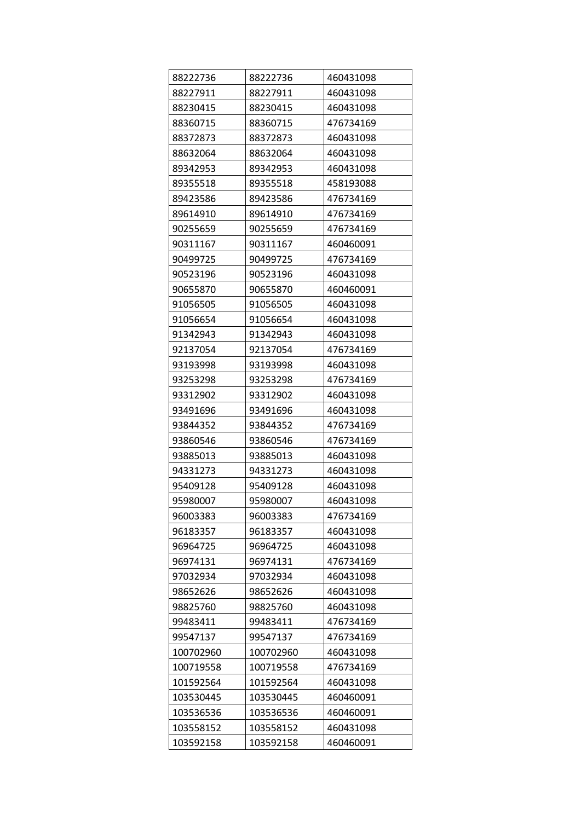| 88222736  | 88222736  | 460431098 |
|-----------|-----------|-----------|
| 88227911  | 88227911  | 460431098 |
| 88230415  | 88230415  | 460431098 |
| 88360715  | 88360715  | 476734169 |
| 88372873  | 88372873  | 460431098 |
| 88632064  | 88632064  | 460431098 |
| 89342953  | 89342953  | 460431098 |
| 89355518  | 89355518  | 458193088 |
| 89423586  | 89423586  | 476734169 |
| 89614910  | 89614910  | 476734169 |
| 90255659  | 90255659  | 476734169 |
| 90311167  | 90311167  | 460460091 |
| 90499725  | 90499725  | 476734169 |
| 90523196  | 90523196  | 460431098 |
| 90655870  | 90655870  | 460460091 |
| 91056505  | 91056505  | 460431098 |
| 91056654  | 91056654  | 460431098 |
| 91342943  | 91342943  | 460431098 |
| 92137054  | 92137054  | 476734169 |
| 93193998  | 93193998  | 460431098 |
| 93253298  | 93253298  | 476734169 |
| 93312902  | 93312902  | 460431098 |
| 93491696  | 93491696  | 460431098 |
| 93844352  | 93844352  | 476734169 |
| 93860546  | 93860546  | 476734169 |
| 93885013  | 93885013  | 460431098 |
| 94331273  | 94331273  | 460431098 |
| 95409128  | 95409128  | 460431098 |
| 95980007  | 95980007  | 460431098 |
| 96003383  | 96003383  | 476734169 |
| 96183357  | 96183357  | 460431098 |
| 96964725  | 96964725  | 460431098 |
| 96974131  | 96974131  | 476734169 |
| 97032934  | 97032934  | 460431098 |
| 98652626  | 98652626  | 460431098 |
| 98825760  | 98825760  | 460431098 |
| 99483411  | 99483411  | 476734169 |
| 99547137  | 99547137  | 476734169 |
| 100702960 | 100702960 | 460431098 |
| 100719558 | 100719558 | 476734169 |
| 101592564 | 101592564 | 460431098 |
| 103530445 | 103530445 | 460460091 |
| 103536536 | 103536536 | 460460091 |
| 103558152 | 103558152 | 460431098 |
| 103592158 | 103592158 | 460460091 |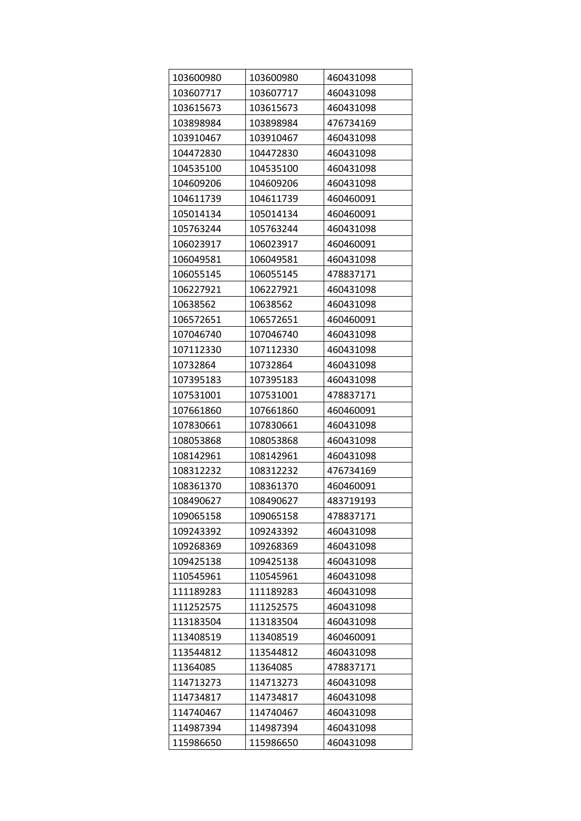| 103600980 | 103600980 | 460431098 |
|-----------|-----------|-----------|
| 103607717 | 103607717 | 460431098 |
| 103615673 | 103615673 | 460431098 |
| 103898984 | 103898984 | 476734169 |
| 103910467 | 103910467 | 460431098 |
| 104472830 | 104472830 | 460431098 |
| 104535100 | 104535100 | 460431098 |
| 104609206 | 104609206 | 460431098 |
| 104611739 | 104611739 | 460460091 |
| 105014134 | 105014134 | 460460091 |
| 105763244 | 105763244 | 460431098 |
| 106023917 | 106023917 | 460460091 |
| 106049581 | 106049581 | 460431098 |
| 106055145 | 106055145 | 478837171 |
| 106227921 | 106227921 | 460431098 |
| 10638562  | 10638562  | 460431098 |
| 106572651 | 106572651 | 460460091 |
| 107046740 | 107046740 | 460431098 |
| 107112330 | 107112330 | 460431098 |
| 10732864  | 10732864  | 460431098 |
| 107395183 | 107395183 | 460431098 |
| 107531001 | 107531001 | 478837171 |
| 107661860 | 107661860 | 460460091 |
| 107830661 | 107830661 | 460431098 |
| 108053868 | 108053868 | 460431098 |
| 108142961 | 108142961 | 460431098 |
| 108312232 | 108312232 | 476734169 |
| 108361370 | 108361370 | 460460091 |
| 108490627 | 108490627 | 483719193 |
| 109065158 | 109065158 | 478837171 |
| 109243392 | 109243392 | 460431098 |
| 109268369 | 109268369 | 460431098 |
| 109425138 | 109425138 | 460431098 |
| 110545961 | 110545961 | 460431098 |
| 111189283 | 111189283 | 460431098 |
| 111252575 | 111252575 | 460431098 |
| 113183504 | 113183504 | 460431098 |
| 113408519 | 113408519 | 460460091 |
| 113544812 | 113544812 | 460431098 |
| 11364085  | 11364085  | 478837171 |
| 114713273 | 114713273 | 460431098 |
| 114734817 | 114734817 | 460431098 |
| 114740467 | 114740467 | 460431098 |
| 114987394 | 114987394 | 460431098 |
| 115986650 | 115986650 | 460431098 |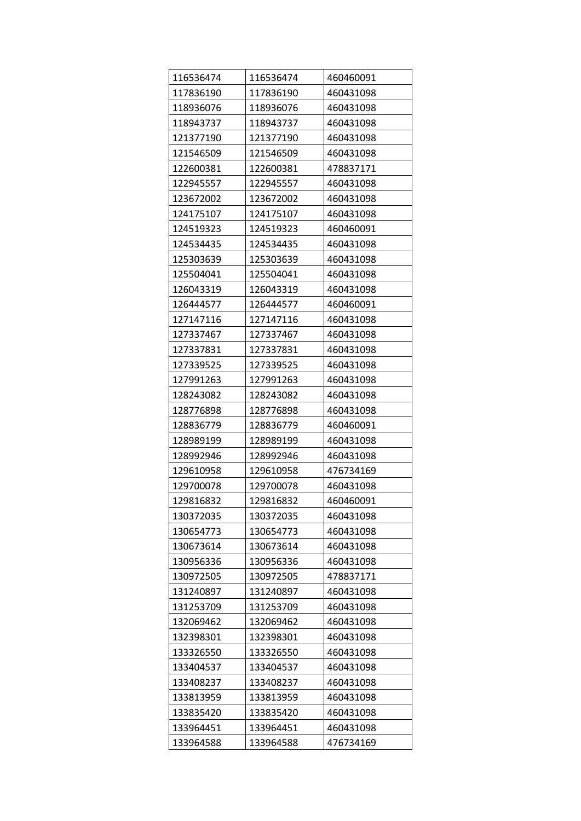| 116536474 | 116536474 | 460460091 |
|-----------|-----------|-----------|
| 117836190 | 117836190 | 460431098 |
| 118936076 | 118936076 | 460431098 |
| 118943737 | 118943737 | 460431098 |
| 121377190 | 121377190 | 460431098 |
| 121546509 | 121546509 | 460431098 |
| 122600381 | 122600381 | 478837171 |
| 122945557 | 122945557 | 460431098 |
| 123672002 | 123672002 | 460431098 |
| 124175107 | 124175107 | 460431098 |
| 124519323 | 124519323 | 460460091 |
| 124534435 | 124534435 | 460431098 |
| 125303639 | 125303639 | 460431098 |
| 125504041 | 125504041 | 460431098 |
| 126043319 | 126043319 | 460431098 |
| 126444577 | 126444577 | 460460091 |
| 127147116 | 127147116 | 460431098 |
| 127337467 | 127337467 | 460431098 |
| 127337831 | 127337831 | 460431098 |
| 127339525 | 127339525 | 460431098 |
| 127991263 | 127991263 | 460431098 |
| 128243082 | 128243082 | 460431098 |
| 128776898 | 128776898 | 460431098 |
| 128836779 | 128836779 | 460460091 |
| 128989199 | 128989199 | 460431098 |
| 128992946 | 128992946 | 460431098 |
| 129610958 | 129610958 | 476734169 |
| 129700078 | 129700078 | 460431098 |
| 129816832 | 129816832 | 460460091 |
| 130372035 | 130372035 | 460431098 |
| 130654773 | 130654773 | 460431098 |
| 130673614 | 130673614 | 460431098 |
| 130956336 | 130956336 | 460431098 |
| 130972505 | 130972505 | 478837171 |
| 131240897 | 131240897 | 460431098 |
| 131253709 | 131253709 | 460431098 |
| 132069462 | 132069462 | 460431098 |
| 132398301 | 132398301 | 460431098 |
| 133326550 | 133326550 | 460431098 |
| 133404537 | 133404537 | 460431098 |
| 133408237 | 133408237 | 460431098 |
| 133813959 | 133813959 | 460431098 |
| 133835420 | 133835420 | 460431098 |
| 133964451 | 133964451 | 460431098 |
| 133964588 | 133964588 | 476734169 |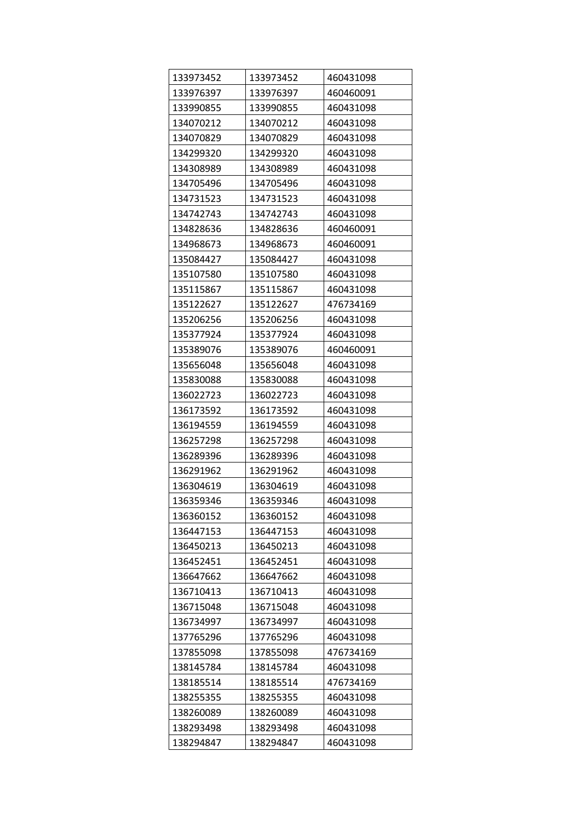| 133973452 | 133973452 | 460431098 |
|-----------|-----------|-----------|
| 133976397 | 133976397 | 460460091 |
| 133990855 | 133990855 | 460431098 |
| 134070212 | 134070212 | 460431098 |
| 134070829 | 134070829 | 460431098 |
| 134299320 | 134299320 | 460431098 |
| 134308989 | 134308989 | 460431098 |
| 134705496 | 134705496 | 460431098 |
| 134731523 | 134731523 | 460431098 |
| 134742743 | 134742743 | 460431098 |
| 134828636 | 134828636 | 460460091 |
| 134968673 | 134968673 | 460460091 |
| 135084427 | 135084427 | 460431098 |
| 135107580 | 135107580 | 460431098 |
| 135115867 | 135115867 | 460431098 |
| 135122627 | 135122627 | 476734169 |
| 135206256 | 135206256 | 460431098 |
| 135377924 | 135377924 | 460431098 |
| 135389076 | 135389076 | 460460091 |
| 135656048 | 135656048 | 460431098 |
| 135830088 | 135830088 | 460431098 |
| 136022723 | 136022723 | 460431098 |
| 136173592 | 136173592 | 460431098 |
| 136194559 | 136194559 | 460431098 |
| 136257298 | 136257298 | 460431098 |
| 136289396 | 136289396 | 460431098 |
| 136291962 | 136291962 | 460431098 |
| 136304619 | 136304619 | 460431098 |
| 136359346 | 136359346 | 460431098 |
| 136360152 | 136360152 | 460431098 |
| 136447153 | 136447153 | 460431098 |
| 136450213 | 136450213 | 460431098 |
| 136452451 | 136452451 | 460431098 |
| 136647662 | 136647662 | 460431098 |
| 136710413 | 136710413 | 460431098 |
| 136715048 | 136715048 | 460431098 |
| 136734997 | 136734997 | 460431098 |
| 137765296 | 137765296 | 460431098 |
| 137855098 | 137855098 | 476734169 |
| 138145784 | 138145784 | 460431098 |
| 138185514 | 138185514 | 476734169 |
| 138255355 | 138255355 | 460431098 |
| 138260089 | 138260089 | 460431098 |
| 138293498 | 138293498 | 460431098 |
| 138294847 | 138294847 | 460431098 |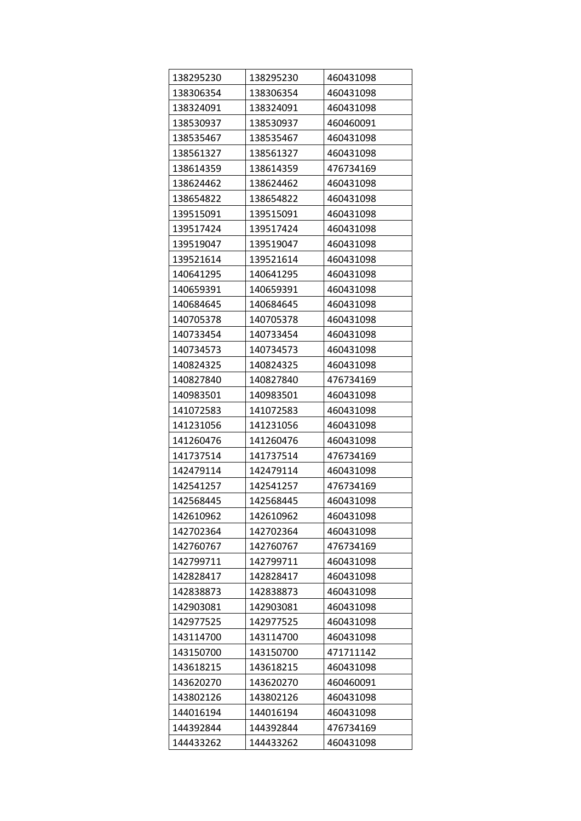| 138295230 | 138295230 | 460431098 |
|-----------|-----------|-----------|
| 138306354 | 138306354 | 460431098 |
| 138324091 | 138324091 | 460431098 |
| 138530937 | 138530937 | 460460091 |
| 138535467 | 138535467 | 460431098 |
| 138561327 | 138561327 | 460431098 |
| 138614359 | 138614359 | 476734169 |
| 138624462 | 138624462 | 460431098 |
| 138654822 | 138654822 | 460431098 |
| 139515091 | 139515091 | 460431098 |
| 139517424 | 139517424 | 460431098 |
| 139519047 | 139519047 | 460431098 |
| 139521614 | 139521614 | 460431098 |
| 140641295 | 140641295 | 460431098 |
| 140659391 | 140659391 | 460431098 |
| 140684645 | 140684645 | 460431098 |
| 140705378 | 140705378 | 460431098 |
| 140733454 | 140733454 | 460431098 |
| 140734573 | 140734573 | 460431098 |
| 140824325 | 140824325 | 460431098 |
| 140827840 | 140827840 | 476734169 |
| 140983501 | 140983501 | 460431098 |
| 141072583 | 141072583 | 460431098 |
| 141231056 | 141231056 | 460431098 |
| 141260476 | 141260476 | 460431098 |
| 141737514 | 141737514 | 476734169 |
| 142479114 | 142479114 | 460431098 |
| 142541257 | 142541257 | 476734169 |
| 142568445 | 142568445 | 460431098 |
| 142610962 | 142610962 | 460431098 |
| 142702364 | 142702364 | 460431098 |
| 142760767 | 142760767 | 476734169 |
| 142799711 | 142799711 | 460431098 |
| 142828417 | 142828417 | 460431098 |
| 142838873 | 142838873 | 460431098 |
| 142903081 | 142903081 | 460431098 |
| 142977525 | 142977525 | 460431098 |
| 143114700 | 143114700 | 460431098 |
| 143150700 | 143150700 | 471711142 |
| 143618215 | 143618215 | 460431098 |
| 143620270 | 143620270 | 460460091 |
| 143802126 | 143802126 | 460431098 |
| 144016194 | 144016194 | 460431098 |
| 144392844 | 144392844 | 476734169 |
| 144433262 | 144433262 | 460431098 |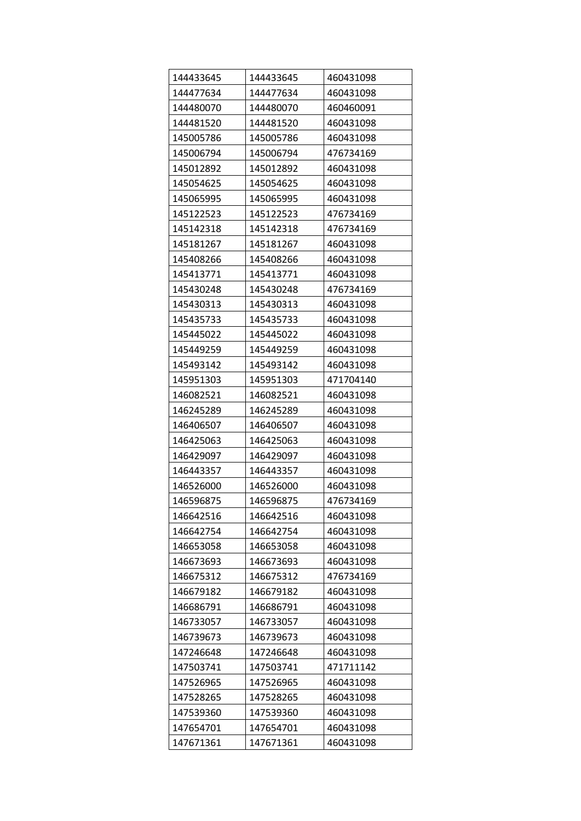| 144433645 | 144433645 | 460431098 |
|-----------|-----------|-----------|
| 144477634 | 144477634 | 460431098 |
| 144480070 | 144480070 | 460460091 |
| 144481520 | 144481520 | 460431098 |
| 145005786 | 145005786 | 460431098 |
| 145006794 | 145006794 | 476734169 |
| 145012892 | 145012892 | 460431098 |
| 145054625 | 145054625 | 460431098 |
| 145065995 | 145065995 | 460431098 |
| 145122523 | 145122523 | 476734169 |
| 145142318 | 145142318 | 476734169 |
| 145181267 | 145181267 | 460431098 |
| 145408266 | 145408266 | 460431098 |
| 145413771 | 145413771 | 460431098 |
| 145430248 | 145430248 | 476734169 |
| 145430313 | 145430313 | 460431098 |
| 145435733 | 145435733 | 460431098 |
| 145445022 | 145445022 | 460431098 |
| 145449259 | 145449259 | 460431098 |
| 145493142 | 145493142 | 460431098 |
| 145951303 | 145951303 | 471704140 |
| 146082521 | 146082521 | 460431098 |
| 146245289 | 146245289 | 460431098 |
| 146406507 | 146406507 | 460431098 |
| 146425063 | 146425063 | 460431098 |
| 146429097 | 146429097 | 460431098 |
| 146443357 | 146443357 | 460431098 |
| 146526000 | 146526000 | 460431098 |
| 146596875 | 146596875 | 476734169 |
| 146642516 | 146642516 | 460431098 |
| 146642754 | 146642754 | 460431098 |
| 146653058 | 146653058 | 460431098 |
| 146673693 | 146673693 | 460431098 |
| 146675312 | 146675312 | 476734169 |
| 146679182 | 146679182 | 460431098 |
| 146686791 | 146686791 | 460431098 |
| 146733057 | 146733057 | 460431098 |
| 146739673 | 146739673 | 460431098 |
| 147246648 | 147246648 | 460431098 |
| 147503741 | 147503741 | 471711142 |
| 147526965 | 147526965 | 460431098 |
| 147528265 | 147528265 | 460431098 |
| 147539360 | 147539360 | 460431098 |
| 147654701 | 147654701 | 460431098 |
| 147671361 | 147671361 | 460431098 |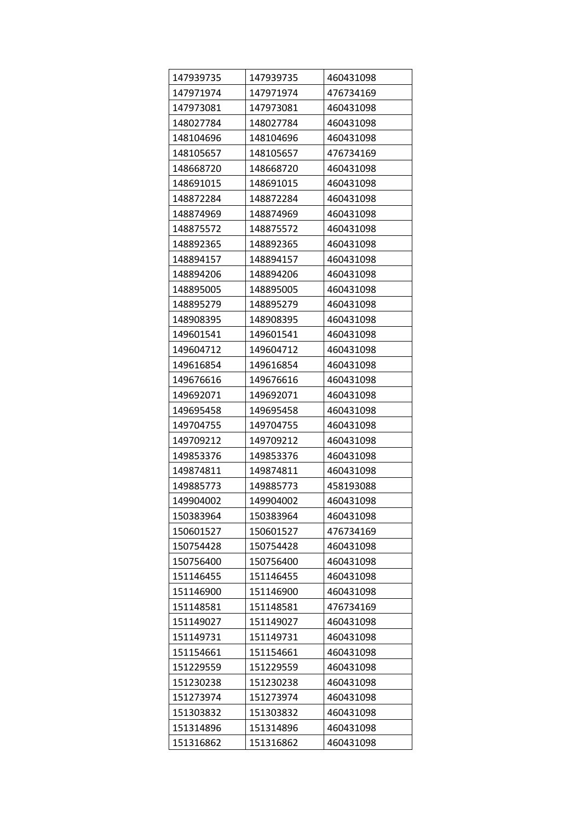| 147939735 | 147939735 | 460431098 |
|-----------|-----------|-----------|
| 147971974 | 147971974 | 476734169 |
| 147973081 | 147973081 | 460431098 |
| 148027784 | 148027784 | 460431098 |
| 148104696 | 148104696 | 460431098 |
| 148105657 | 148105657 | 476734169 |
| 148668720 | 148668720 | 460431098 |
| 148691015 | 148691015 | 460431098 |
| 148872284 | 148872284 | 460431098 |
| 148874969 | 148874969 | 460431098 |
| 148875572 | 148875572 | 460431098 |
| 148892365 | 148892365 | 460431098 |
| 148894157 | 148894157 | 460431098 |
| 148894206 | 148894206 | 460431098 |
| 148895005 | 148895005 | 460431098 |
| 148895279 | 148895279 | 460431098 |
| 148908395 | 148908395 | 460431098 |
| 149601541 | 149601541 | 460431098 |
| 149604712 | 149604712 | 460431098 |
| 149616854 | 149616854 | 460431098 |
| 149676616 | 149676616 | 460431098 |
| 149692071 | 149692071 | 460431098 |
| 149695458 | 149695458 | 460431098 |
| 149704755 | 149704755 | 460431098 |
| 149709212 | 149709212 | 460431098 |
| 149853376 | 149853376 | 460431098 |
| 149874811 | 149874811 | 460431098 |
| 149885773 | 149885773 | 458193088 |
| 149904002 | 149904002 | 460431098 |
| 150383964 | 150383964 | 460431098 |
| 150601527 | 150601527 | 476734169 |
| 150754428 | 150754428 | 460431098 |
| 150756400 | 150756400 | 460431098 |
| 151146455 | 151146455 | 460431098 |
| 151146900 | 151146900 | 460431098 |
| 151148581 | 151148581 | 476734169 |
| 151149027 | 151149027 | 460431098 |
| 151149731 | 151149731 | 460431098 |
| 151154661 | 151154661 | 460431098 |
| 151229559 | 151229559 | 460431098 |
| 151230238 | 151230238 | 460431098 |
| 151273974 | 151273974 | 460431098 |
| 151303832 | 151303832 | 460431098 |
| 151314896 | 151314896 | 460431098 |
| 151316862 | 151316862 | 460431098 |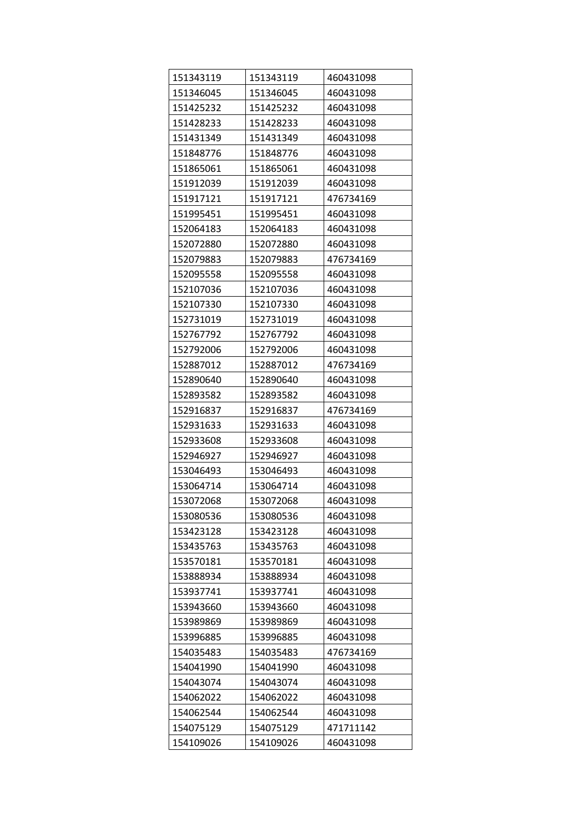| 151343119 | 151343119 | 460431098 |
|-----------|-----------|-----------|
| 151346045 | 151346045 | 460431098 |
| 151425232 | 151425232 | 460431098 |
| 151428233 | 151428233 | 460431098 |
| 151431349 | 151431349 | 460431098 |
| 151848776 | 151848776 | 460431098 |
| 151865061 | 151865061 | 460431098 |
| 151912039 | 151912039 | 460431098 |
| 151917121 | 151917121 | 476734169 |
| 151995451 | 151995451 | 460431098 |
| 152064183 | 152064183 | 460431098 |
| 152072880 | 152072880 | 460431098 |
| 152079883 | 152079883 | 476734169 |
| 152095558 | 152095558 | 460431098 |
| 152107036 | 152107036 | 460431098 |
| 152107330 | 152107330 | 460431098 |
| 152731019 | 152731019 | 460431098 |
| 152767792 | 152767792 | 460431098 |
| 152792006 | 152792006 | 460431098 |
| 152887012 | 152887012 | 476734169 |
| 152890640 | 152890640 | 460431098 |
| 152893582 | 152893582 | 460431098 |
| 152916837 | 152916837 | 476734169 |
| 152931633 | 152931633 | 460431098 |
| 152933608 | 152933608 | 460431098 |
| 152946927 | 152946927 | 460431098 |
| 153046493 | 153046493 | 460431098 |
| 153064714 | 153064714 | 460431098 |
| 153072068 | 153072068 | 460431098 |
| 153080536 | 153080536 | 460431098 |
| 153423128 | 153423128 | 460431098 |
| 153435763 | 153435763 | 460431098 |
| 153570181 | 153570181 | 460431098 |
| 153888934 | 153888934 | 460431098 |
| 153937741 | 153937741 | 460431098 |
| 153943660 | 153943660 | 460431098 |
| 153989869 | 153989869 | 460431098 |
| 153996885 | 153996885 | 460431098 |
| 154035483 | 154035483 | 476734169 |
| 154041990 | 154041990 | 460431098 |
| 154043074 | 154043074 | 460431098 |
| 154062022 | 154062022 | 460431098 |
| 154062544 | 154062544 | 460431098 |
| 154075129 | 154075129 | 471711142 |
| 154109026 | 154109026 | 460431098 |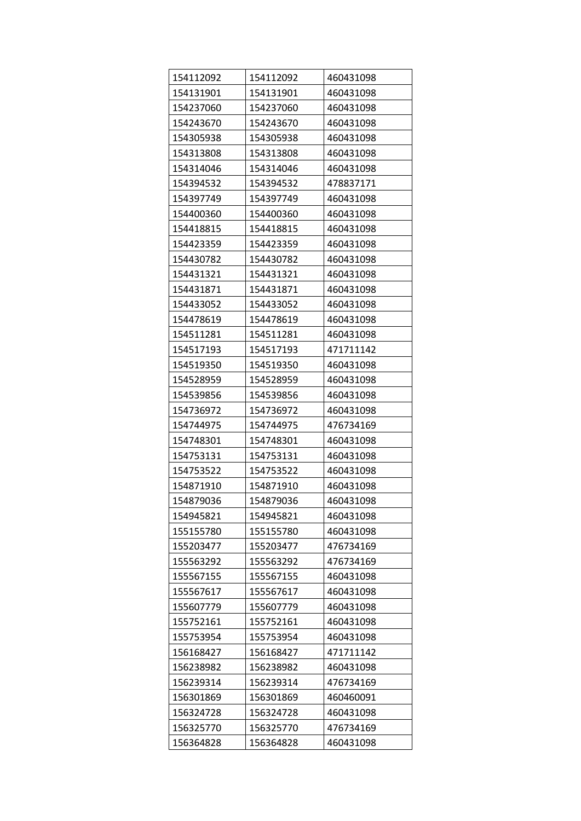| 154112092 | 154112092 | 460431098 |
|-----------|-----------|-----------|
| 154131901 | 154131901 | 460431098 |
| 154237060 | 154237060 | 460431098 |
| 154243670 | 154243670 | 460431098 |
| 154305938 | 154305938 | 460431098 |
| 154313808 | 154313808 | 460431098 |
| 154314046 | 154314046 | 460431098 |
| 154394532 | 154394532 | 478837171 |
| 154397749 | 154397749 | 460431098 |
| 154400360 | 154400360 | 460431098 |
| 154418815 | 154418815 | 460431098 |
| 154423359 | 154423359 | 460431098 |
| 154430782 | 154430782 | 460431098 |
| 154431321 | 154431321 | 460431098 |
| 154431871 | 154431871 | 460431098 |
| 154433052 | 154433052 | 460431098 |
| 154478619 | 154478619 | 460431098 |
| 154511281 | 154511281 | 460431098 |
| 154517193 | 154517193 | 471711142 |
| 154519350 | 154519350 | 460431098 |
| 154528959 | 154528959 | 460431098 |
| 154539856 | 154539856 | 460431098 |
| 154736972 | 154736972 | 460431098 |
| 154744975 | 154744975 | 476734169 |
| 154748301 | 154748301 | 460431098 |
| 154753131 | 154753131 | 460431098 |
| 154753522 | 154753522 | 460431098 |
| 154871910 | 154871910 | 460431098 |
| 154879036 | 154879036 | 460431098 |
| 154945821 | 154945821 | 460431098 |
| 155155780 | 155155780 | 460431098 |
| 155203477 | 155203477 | 476734169 |
| 155563292 | 155563292 | 476734169 |
| 155567155 | 155567155 | 460431098 |
| 155567617 | 155567617 | 460431098 |
| 155607779 | 155607779 | 460431098 |
| 155752161 | 155752161 | 460431098 |
| 155753954 | 155753954 | 460431098 |
| 156168427 | 156168427 | 471711142 |
| 156238982 | 156238982 | 460431098 |
| 156239314 | 156239314 | 476734169 |
| 156301869 | 156301869 | 460460091 |
| 156324728 | 156324728 | 460431098 |
| 156325770 | 156325770 | 476734169 |
| 156364828 | 156364828 | 460431098 |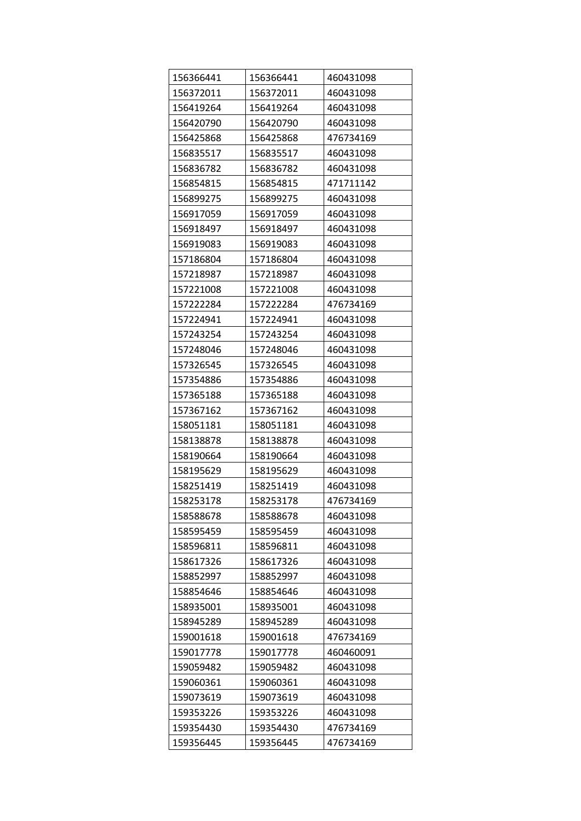| 156366441 | 156366441 | 460431098 |
|-----------|-----------|-----------|
| 156372011 | 156372011 | 460431098 |
| 156419264 | 156419264 | 460431098 |
| 156420790 | 156420790 | 460431098 |
| 156425868 | 156425868 | 476734169 |
| 156835517 | 156835517 | 460431098 |
| 156836782 | 156836782 | 460431098 |
| 156854815 | 156854815 | 471711142 |
| 156899275 | 156899275 | 460431098 |
| 156917059 | 156917059 | 460431098 |
| 156918497 | 156918497 | 460431098 |
| 156919083 | 156919083 | 460431098 |
| 157186804 | 157186804 | 460431098 |
| 157218987 | 157218987 | 460431098 |
| 157221008 | 157221008 | 460431098 |
| 157222284 | 157222284 | 476734169 |
| 157224941 | 157224941 | 460431098 |
| 157243254 | 157243254 | 460431098 |
| 157248046 | 157248046 | 460431098 |
| 157326545 | 157326545 | 460431098 |
| 157354886 | 157354886 | 460431098 |
| 157365188 | 157365188 | 460431098 |
| 157367162 | 157367162 | 460431098 |
| 158051181 | 158051181 | 460431098 |
| 158138878 | 158138878 | 460431098 |
| 158190664 | 158190664 | 460431098 |
| 158195629 | 158195629 | 460431098 |
| 158251419 | 158251419 | 460431098 |
| 158253178 | 158253178 | 476734169 |
| 158588678 | 158588678 | 460431098 |
| 158595459 | 158595459 | 460431098 |
| 158596811 | 158596811 | 460431098 |
| 158617326 | 158617326 | 460431098 |
| 158852997 | 158852997 | 460431098 |
| 158854646 | 158854646 | 460431098 |
| 158935001 | 158935001 | 460431098 |
| 158945289 | 158945289 | 460431098 |
| 159001618 | 159001618 | 476734169 |
| 159017778 | 159017778 | 460460091 |
| 159059482 | 159059482 | 460431098 |
| 159060361 | 159060361 | 460431098 |
| 159073619 | 159073619 | 460431098 |
| 159353226 | 159353226 | 460431098 |
| 159354430 | 159354430 | 476734169 |
| 159356445 | 159356445 | 476734169 |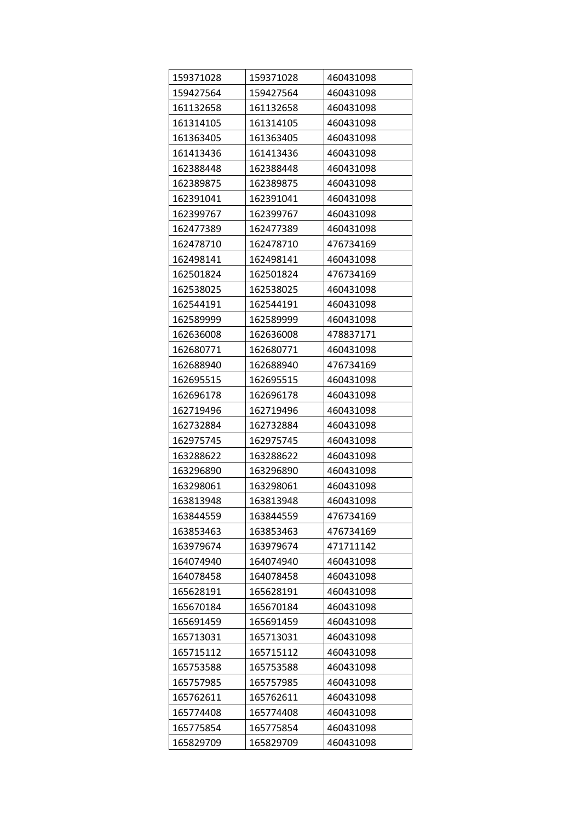| 159371028 | 159371028 | 460431098 |
|-----------|-----------|-----------|
| 159427564 | 159427564 | 460431098 |
| 161132658 | 161132658 | 460431098 |
| 161314105 | 161314105 | 460431098 |
| 161363405 | 161363405 | 460431098 |
| 161413436 | 161413436 | 460431098 |
| 162388448 | 162388448 | 460431098 |
| 162389875 | 162389875 | 460431098 |
| 162391041 | 162391041 | 460431098 |
| 162399767 | 162399767 | 460431098 |
| 162477389 | 162477389 | 460431098 |
| 162478710 | 162478710 | 476734169 |
| 162498141 | 162498141 | 460431098 |
| 162501824 | 162501824 | 476734169 |
| 162538025 | 162538025 | 460431098 |
| 162544191 | 162544191 | 460431098 |
| 162589999 | 162589999 | 460431098 |
| 162636008 | 162636008 | 478837171 |
| 162680771 | 162680771 | 460431098 |
| 162688940 | 162688940 | 476734169 |
| 162695515 | 162695515 | 460431098 |
| 162696178 | 162696178 | 460431098 |
| 162719496 | 162719496 | 460431098 |
| 162732884 | 162732884 | 460431098 |
| 162975745 | 162975745 | 460431098 |
| 163288622 | 163288622 | 460431098 |
| 163296890 | 163296890 | 460431098 |
| 163298061 | 163298061 | 460431098 |
| 163813948 | 163813948 | 460431098 |
| 163844559 | 163844559 | 476734169 |
| 163853463 | 163853463 | 476734169 |
| 163979674 | 163979674 | 471711142 |
| 164074940 | 164074940 | 460431098 |
| 164078458 | 164078458 | 460431098 |
| 165628191 | 165628191 | 460431098 |
| 165670184 | 165670184 | 460431098 |
| 165691459 | 165691459 | 460431098 |
| 165713031 | 165713031 | 460431098 |
| 165715112 | 165715112 | 460431098 |
| 165753588 | 165753588 | 460431098 |
| 165757985 | 165757985 | 460431098 |
| 165762611 | 165762611 | 460431098 |
| 165774408 | 165774408 | 460431098 |
| 165775854 | 165775854 | 460431098 |
| 165829709 | 165829709 | 460431098 |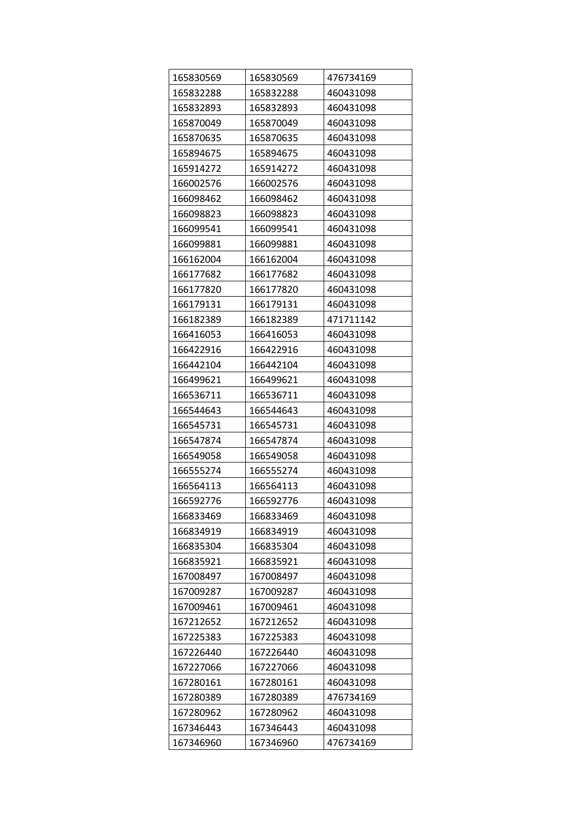| 165830569 | 165830569 | 476734169 |
|-----------|-----------|-----------|
| 165832288 | 165832288 | 460431098 |
| 165832893 | 165832893 | 460431098 |
| 165870049 | 165870049 | 460431098 |
| 165870635 | 165870635 | 460431098 |
| 165894675 | 165894675 | 460431098 |
| 165914272 | 165914272 | 460431098 |
| 166002576 | 166002576 | 460431098 |
| 166098462 | 166098462 | 460431098 |
| 166098823 | 166098823 | 460431098 |
| 166099541 | 166099541 | 460431098 |
| 166099881 | 166099881 | 460431098 |
| 166162004 | 166162004 | 460431098 |
| 166177682 | 166177682 | 460431098 |
| 166177820 | 166177820 | 460431098 |
| 166179131 | 166179131 | 460431098 |
| 166182389 | 166182389 | 471711142 |
| 166416053 | 166416053 | 460431098 |
| 166422916 | 166422916 | 460431098 |
| 166442104 | 166442104 | 460431098 |
| 166499621 | 166499621 | 460431098 |
| 166536711 | 166536711 | 460431098 |
| 166544643 | 166544643 | 460431098 |
| 166545731 | 166545731 | 460431098 |
| 166547874 | 166547874 | 460431098 |
| 166549058 | 166549058 | 460431098 |
| 166555274 | 166555274 | 460431098 |
| 166564113 | 166564113 | 460431098 |
| 166592776 | 166592776 | 460431098 |
| 166833469 | 166833469 | 460431098 |
| 166834919 | 166834919 | 460431098 |
| 166835304 | 166835304 | 460431098 |
| 166835921 | 166835921 | 460431098 |
| 167008497 | 167008497 | 460431098 |
| 167009287 | 167009287 | 460431098 |
| 167009461 | 167009461 | 460431098 |
| 167212652 | 167212652 | 460431098 |
| 167225383 | 167225383 | 460431098 |
| 167226440 | 167226440 | 460431098 |
| 167227066 | 167227066 | 460431098 |
| 167280161 | 167280161 | 460431098 |
| 167280389 | 167280389 | 476734169 |
| 167280962 | 167280962 | 460431098 |
| 167346443 | 167346443 | 460431098 |
| 167346960 | 167346960 | 476734169 |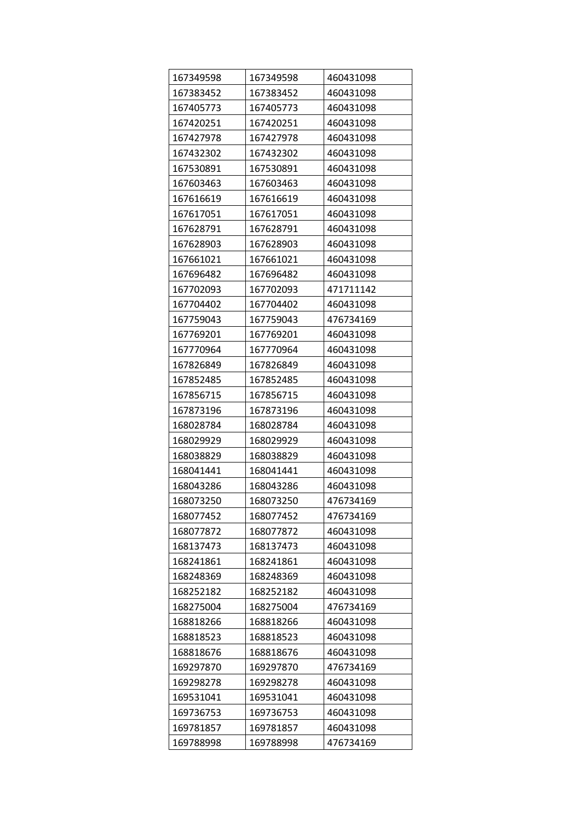| 167349598 | 167349598 | 460431098 |
|-----------|-----------|-----------|
| 167383452 | 167383452 | 460431098 |
| 167405773 | 167405773 | 460431098 |
| 167420251 | 167420251 | 460431098 |
| 167427978 | 167427978 | 460431098 |
| 167432302 | 167432302 | 460431098 |
| 167530891 | 167530891 | 460431098 |
| 167603463 | 167603463 | 460431098 |
| 167616619 | 167616619 | 460431098 |
| 167617051 | 167617051 | 460431098 |
| 167628791 | 167628791 | 460431098 |
| 167628903 | 167628903 | 460431098 |
| 167661021 | 167661021 | 460431098 |
| 167696482 | 167696482 | 460431098 |
| 167702093 | 167702093 | 471711142 |
| 167704402 | 167704402 | 460431098 |
| 167759043 | 167759043 | 476734169 |
| 167769201 | 167769201 | 460431098 |
| 167770964 | 167770964 | 460431098 |
| 167826849 | 167826849 | 460431098 |
| 167852485 | 167852485 | 460431098 |
| 167856715 | 167856715 | 460431098 |
| 167873196 | 167873196 | 460431098 |
| 168028784 | 168028784 | 460431098 |
| 168029929 | 168029929 | 460431098 |
| 168038829 | 168038829 | 460431098 |
| 168041441 | 168041441 | 460431098 |
| 168043286 | 168043286 | 460431098 |
| 168073250 | 168073250 | 476734169 |
| 168077452 | 168077452 | 476734169 |
| 168077872 | 168077872 | 460431098 |
| 168137473 | 168137473 | 460431098 |
| 168241861 | 168241861 | 460431098 |
| 168248369 | 168248369 | 460431098 |
| 168252182 | 168252182 | 460431098 |
| 168275004 | 168275004 | 476734169 |
| 168818266 | 168818266 | 460431098 |
| 168818523 | 168818523 | 460431098 |
| 168818676 | 168818676 | 460431098 |
| 169297870 | 169297870 | 476734169 |
| 169298278 | 169298278 | 460431098 |
| 169531041 | 169531041 | 460431098 |
| 169736753 | 169736753 | 460431098 |
| 169781857 | 169781857 | 460431098 |
| 169788998 | 169788998 | 476734169 |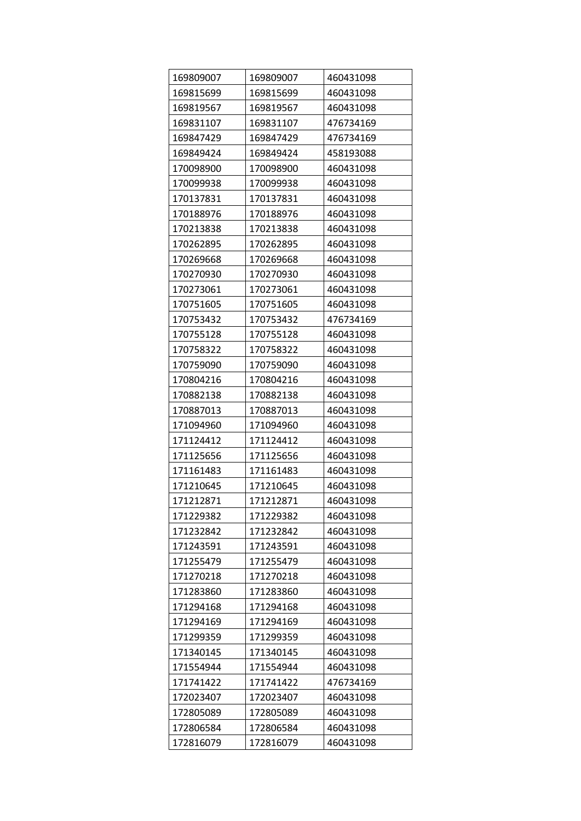| 169809007 | 169809007 | 460431098 |
|-----------|-----------|-----------|
| 169815699 | 169815699 | 460431098 |
| 169819567 | 169819567 | 460431098 |
| 169831107 | 169831107 | 476734169 |
| 169847429 | 169847429 | 476734169 |
| 169849424 | 169849424 | 458193088 |
| 170098900 | 170098900 | 460431098 |
| 170099938 | 170099938 | 460431098 |
| 170137831 | 170137831 | 460431098 |
| 170188976 | 170188976 | 460431098 |
| 170213838 | 170213838 | 460431098 |
| 170262895 | 170262895 | 460431098 |
| 170269668 | 170269668 | 460431098 |
| 170270930 | 170270930 | 460431098 |
| 170273061 | 170273061 | 460431098 |
| 170751605 | 170751605 | 460431098 |
| 170753432 | 170753432 | 476734169 |
| 170755128 | 170755128 | 460431098 |
| 170758322 | 170758322 | 460431098 |
| 170759090 | 170759090 | 460431098 |
| 170804216 | 170804216 | 460431098 |
| 170882138 | 170882138 | 460431098 |
| 170887013 | 170887013 | 460431098 |
| 171094960 | 171094960 | 460431098 |
| 171124412 | 171124412 | 460431098 |
| 171125656 | 171125656 | 460431098 |
| 171161483 | 171161483 | 460431098 |
| 171210645 | 171210645 | 460431098 |
| 171212871 | 171212871 | 460431098 |
| 171229382 | 171229382 | 460431098 |
| 171232842 | 171232842 | 460431098 |
| 171243591 | 171243591 | 460431098 |
| 171255479 | 171255479 | 460431098 |
| 171270218 | 171270218 | 460431098 |
| 171283860 | 171283860 | 460431098 |
| 171294168 | 171294168 | 460431098 |
| 171294169 | 171294169 | 460431098 |
| 171299359 | 171299359 | 460431098 |
| 171340145 | 171340145 | 460431098 |
| 171554944 | 171554944 | 460431098 |
| 171741422 | 171741422 | 476734169 |
| 172023407 | 172023407 | 460431098 |
| 172805089 | 172805089 | 460431098 |
| 172806584 | 172806584 | 460431098 |
| 172816079 | 172816079 | 460431098 |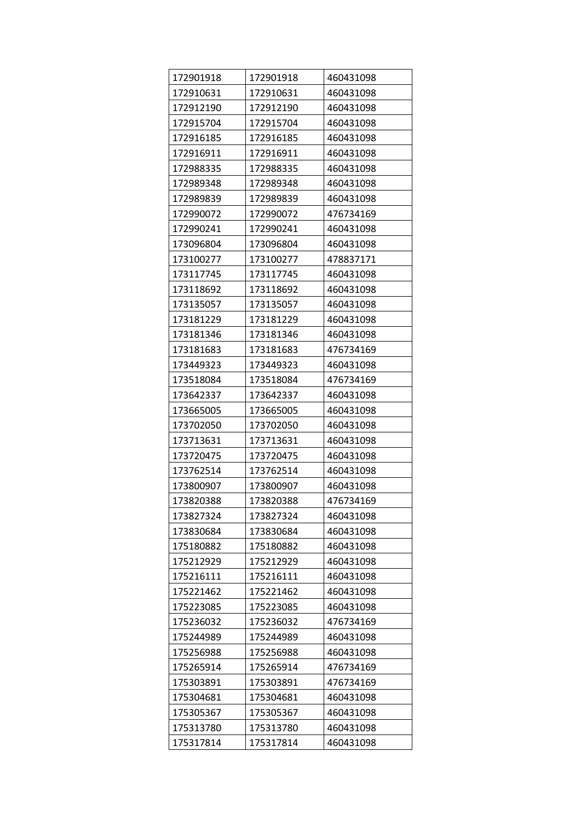| 172901918 | 172901918 | 460431098 |
|-----------|-----------|-----------|
| 172910631 | 172910631 | 460431098 |
| 172912190 | 172912190 | 460431098 |
| 172915704 | 172915704 | 460431098 |
| 172916185 | 172916185 | 460431098 |
| 172916911 | 172916911 | 460431098 |
| 172988335 | 172988335 | 460431098 |
| 172989348 | 172989348 | 460431098 |
| 172989839 | 172989839 | 460431098 |
| 172990072 | 172990072 | 476734169 |
| 172990241 | 172990241 | 460431098 |
| 173096804 | 173096804 | 460431098 |
| 173100277 | 173100277 | 478837171 |
| 173117745 | 173117745 | 460431098 |
| 173118692 | 173118692 | 460431098 |
| 173135057 | 173135057 | 460431098 |
| 173181229 | 173181229 | 460431098 |
| 173181346 | 173181346 | 460431098 |
| 173181683 | 173181683 | 476734169 |
| 173449323 | 173449323 | 460431098 |
| 173518084 | 173518084 | 476734169 |
| 173642337 | 173642337 | 460431098 |
| 173665005 | 173665005 | 460431098 |
| 173702050 | 173702050 | 460431098 |
| 173713631 | 173713631 | 460431098 |
| 173720475 | 173720475 | 460431098 |
| 173762514 | 173762514 | 460431098 |
| 173800907 | 173800907 | 460431098 |
| 173820388 | 173820388 | 476734169 |
| 173827324 | 173827324 | 460431098 |
| 173830684 | 173830684 | 460431098 |
| 175180882 | 175180882 | 460431098 |
| 175212929 | 175212929 | 460431098 |
| 175216111 | 175216111 | 460431098 |
| 175221462 | 175221462 | 460431098 |
| 175223085 | 175223085 | 460431098 |
| 175236032 | 175236032 | 476734169 |
| 175244989 | 175244989 | 460431098 |
| 175256988 | 175256988 | 460431098 |
| 175265914 | 175265914 | 476734169 |
| 175303891 | 175303891 | 476734169 |
| 175304681 | 175304681 | 460431098 |
| 175305367 | 175305367 | 460431098 |
| 175313780 | 175313780 | 460431098 |
| 175317814 | 175317814 | 460431098 |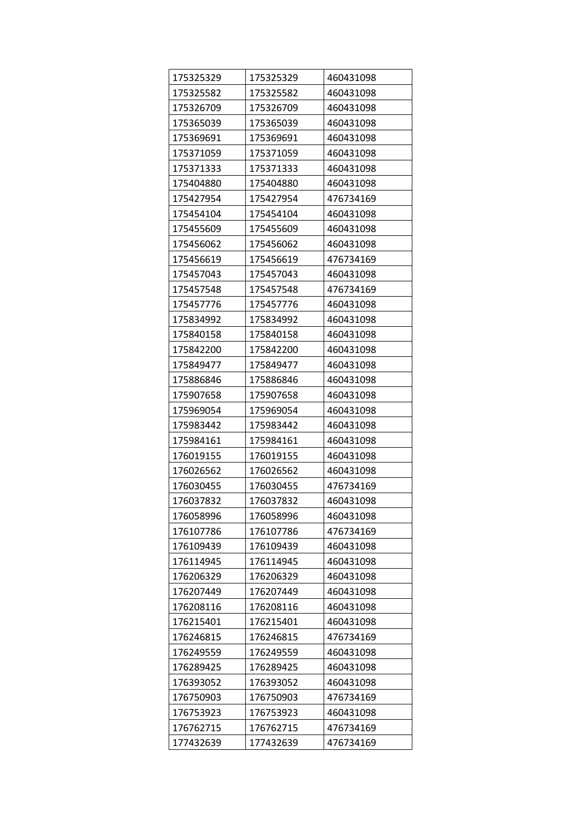| 175325329 | 175325329 | 460431098 |
|-----------|-----------|-----------|
| 175325582 | 175325582 | 460431098 |
| 175326709 | 175326709 | 460431098 |
| 175365039 | 175365039 | 460431098 |
| 175369691 | 175369691 | 460431098 |
| 175371059 | 175371059 | 460431098 |
| 175371333 | 175371333 | 460431098 |
| 175404880 | 175404880 | 460431098 |
| 175427954 | 175427954 | 476734169 |
| 175454104 | 175454104 | 460431098 |
| 175455609 | 175455609 | 460431098 |
| 175456062 | 175456062 | 460431098 |
| 175456619 | 175456619 | 476734169 |
| 175457043 | 175457043 | 460431098 |
| 175457548 | 175457548 | 476734169 |
| 175457776 | 175457776 | 460431098 |
| 175834992 | 175834992 | 460431098 |
| 175840158 | 175840158 | 460431098 |
| 175842200 | 175842200 | 460431098 |
| 175849477 | 175849477 | 460431098 |
| 175886846 | 175886846 | 460431098 |
| 175907658 | 175907658 | 460431098 |
| 175969054 | 175969054 | 460431098 |
| 175983442 | 175983442 | 460431098 |
| 175984161 | 175984161 | 460431098 |
| 176019155 | 176019155 | 460431098 |
| 176026562 | 176026562 | 460431098 |
| 176030455 | 176030455 | 476734169 |
| 176037832 | 176037832 | 460431098 |
| 176058996 | 176058996 | 460431098 |
| 176107786 | 176107786 | 476734169 |
| 176109439 | 176109439 | 460431098 |
| 176114945 | 176114945 | 460431098 |
| 176206329 | 176206329 | 460431098 |
| 176207449 | 176207449 | 460431098 |
| 176208116 | 176208116 | 460431098 |
| 176215401 | 176215401 | 460431098 |
| 176246815 | 176246815 | 476734169 |
| 176249559 | 176249559 | 460431098 |
| 176289425 | 176289425 | 460431098 |
| 176393052 | 176393052 | 460431098 |
| 176750903 | 176750903 | 476734169 |
| 176753923 | 176753923 | 460431098 |
| 176762715 | 176762715 | 476734169 |
| 177432639 | 177432639 | 476734169 |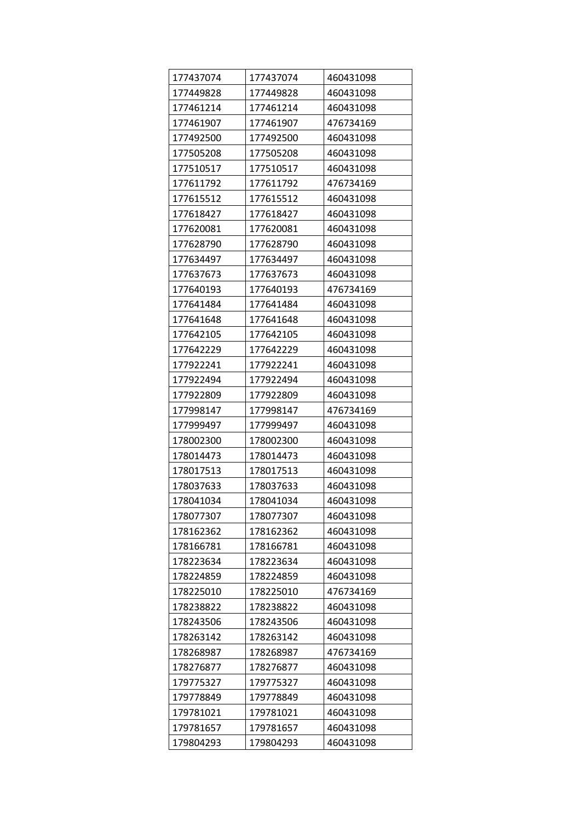| 177437074 | 177437074 | 460431098 |
|-----------|-----------|-----------|
| 177449828 | 177449828 | 460431098 |
| 177461214 | 177461214 | 460431098 |
| 177461907 | 177461907 | 476734169 |
| 177492500 | 177492500 | 460431098 |
| 177505208 | 177505208 | 460431098 |
| 177510517 | 177510517 | 460431098 |
| 177611792 | 177611792 | 476734169 |
| 177615512 | 177615512 | 460431098 |
| 177618427 | 177618427 | 460431098 |
| 177620081 | 177620081 | 460431098 |
| 177628790 | 177628790 | 460431098 |
| 177634497 | 177634497 | 460431098 |
| 177637673 | 177637673 | 460431098 |
| 177640193 | 177640193 | 476734169 |
| 177641484 | 177641484 | 460431098 |
| 177641648 | 177641648 | 460431098 |
| 177642105 | 177642105 | 460431098 |
| 177642229 | 177642229 | 460431098 |
| 177922241 | 177922241 | 460431098 |
| 177922494 | 177922494 | 460431098 |
| 177922809 | 177922809 | 460431098 |
| 177998147 | 177998147 | 476734169 |
| 177999497 | 177999497 | 460431098 |
| 178002300 | 178002300 | 460431098 |
| 178014473 | 178014473 | 460431098 |
| 178017513 | 178017513 | 460431098 |
| 178037633 | 178037633 | 460431098 |
| 178041034 | 178041034 | 460431098 |
| 178077307 | 178077307 | 460431098 |
| 178162362 | 178162362 | 460431098 |
| 178166781 | 178166781 | 460431098 |
| 178223634 | 178223634 | 460431098 |
| 178224859 | 178224859 | 460431098 |
| 178225010 | 178225010 | 476734169 |
| 178238822 | 178238822 | 460431098 |
| 178243506 | 178243506 | 460431098 |
| 178263142 | 178263142 | 460431098 |
| 178268987 | 178268987 | 476734169 |
| 178276877 | 178276877 | 460431098 |
| 179775327 | 179775327 | 460431098 |
| 179778849 | 179778849 | 460431098 |
| 179781021 | 179781021 | 460431098 |
| 179781657 | 179781657 | 460431098 |
| 179804293 | 179804293 | 460431098 |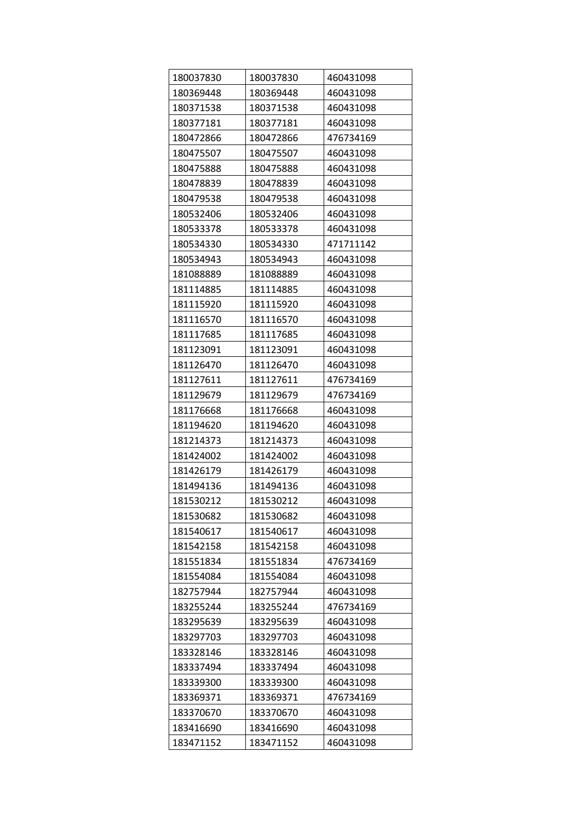| 180037830 | 180037830 | 460431098 |
|-----------|-----------|-----------|
| 180369448 | 180369448 | 460431098 |
| 180371538 | 180371538 | 460431098 |
| 180377181 | 180377181 | 460431098 |
| 180472866 | 180472866 | 476734169 |
| 180475507 | 180475507 | 460431098 |
| 180475888 | 180475888 | 460431098 |
| 180478839 | 180478839 | 460431098 |
| 180479538 | 180479538 | 460431098 |
| 180532406 | 180532406 | 460431098 |
| 180533378 | 180533378 | 460431098 |
| 180534330 | 180534330 | 471711142 |
| 180534943 | 180534943 | 460431098 |
| 181088889 | 181088889 | 460431098 |
| 181114885 | 181114885 | 460431098 |
| 181115920 | 181115920 | 460431098 |
| 181116570 | 181116570 | 460431098 |
| 181117685 | 181117685 | 460431098 |
| 181123091 | 181123091 | 460431098 |
| 181126470 | 181126470 | 460431098 |
| 181127611 | 181127611 | 476734169 |
| 181129679 | 181129679 | 476734169 |
| 181176668 | 181176668 | 460431098 |
| 181194620 | 181194620 | 460431098 |
| 181214373 | 181214373 | 460431098 |
| 181424002 | 181424002 | 460431098 |
| 181426179 | 181426179 | 460431098 |
| 181494136 | 181494136 | 460431098 |
| 181530212 | 181530212 | 460431098 |
| 181530682 | 181530682 | 460431098 |
| 181540617 | 181540617 | 460431098 |
| 181542158 | 181542158 | 460431098 |
| 181551834 | 181551834 | 476734169 |
| 181554084 | 181554084 | 460431098 |
| 182757944 | 182757944 | 460431098 |
| 183255244 | 183255244 | 476734169 |
| 183295639 | 183295639 | 460431098 |
| 183297703 | 183297703 | 460431098 |
| 183328146 | 183328146 | 460431098 |
| 183337494 | 183337494 | 460431098 |
| 183339300 | 183339300 | 460431098 |
| 183369371 | 183369371 | 476734169 |
| 183370670 | 183370670 | 460431098 |
| 183416690 | 183416690 | 460431098 |
| 183471152 | 183471152 | 460431098 |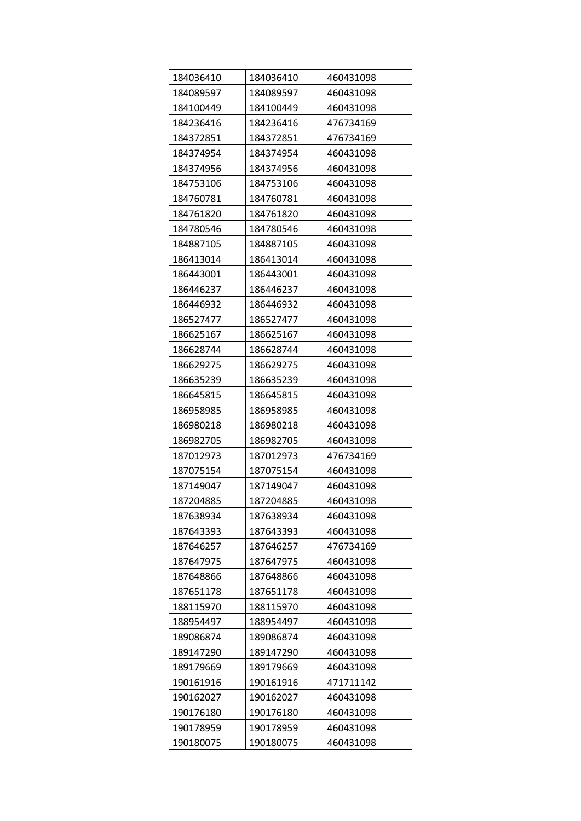| 184036410 | 184036410 | 460431098 |
|-----------|-----------|-----------|
| 184089597 | 184089597 | 460431098 |
| 184100449 | 184100449 | 460431098 |
| 184236416 | 184236416 | 476734169 |
| 184372851 | 184372851 | 476734169 |
| 184374954 | 184374954 | 460431098 |
| 184374956 | 184374956 | 460431098 |
| 184753106 | 184753106 | 460431098 |
| 184760781 | 184760781 | 460431098 |
| 184761820 | 184761820 | 460431098 |
| 184780546 | 184780546 | 460431098 |
| 184887105 | 184887105 | 460431098 |
| 186413014 | 186413014 | 460431098 |
| 186443001 | 186443001 | 460431098 |
| 186446237 | 186446237 | 460431098 |
| 186446932 | 186446932 | 460431098 |
| 186527477 | 186527477 | 460431098 |
| 186625167 | 186625167 | 460431098 |
| 186628744 | 186628744 | 460431098 |
| 186629275 | 186629275 | 460431098 |
| 186635239 | 186635239 | 460431098 |
| 186645815 | 186645815 | 460431098 |
| 186958985 | 186958985 | 460431098 |
| 186980218 | 186980218 | 460431098 |
| 186982705 | 186982705 | 460431098 |
| 187012973 | 187012973 | 476734169 |
| 187075154 | 187075154 | 460431098 |
| 187149047 | 187149047 | 460431098 |
| 187204885 | 187204885 | 460431098 |
| 187638934 | 187638934 | 460431098 |
| 187643393 | 187643393 | 460431098 |
| 187646257 | 187646257 | 476734169 |
| 187647975 | 187647975 | 460431098 |
| 187648866 | 187648866 | 460431098 |
| 187651178 | 187651178 | 460431098 |
| 188115970 | 188115970 | 460431098 |
| 188954497 | 188954497 | 460431098 |
| 189086874 | 189086874 | 460431098 |
| 189147290 | 189147290 | 460431098 |
| 189179669 | 189179669 | 460431098 |
| 190161916 | 190161916 | 471711142 |
| 190162027 | 190162027 | 460431098 |
| 190176180 | 190176180 | 460431098 |
| 190178959 | 190178959 | 460431098 |
| 190180075 | 190180075 | 460431098 |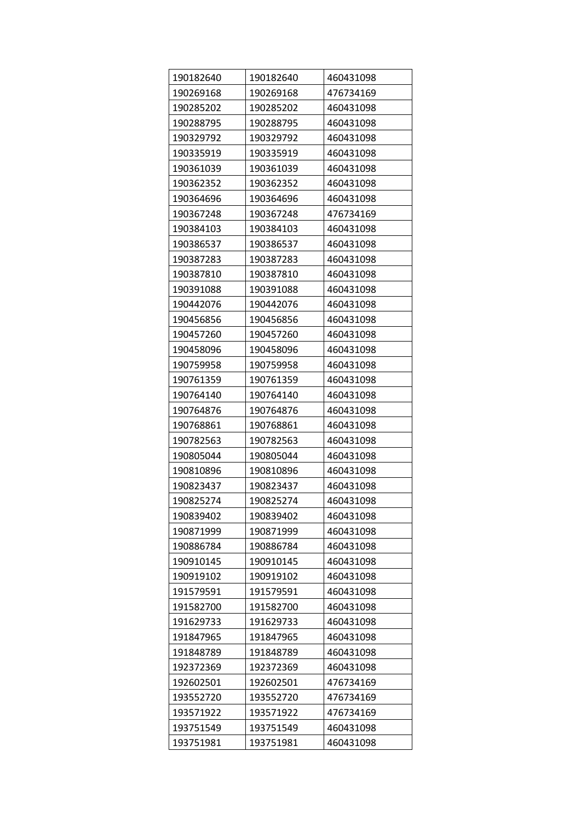| 190182640 | 190182640 | 460431098 |
|-----------|-----------|-----------|
| 190269168 | 190269168 | 476734169 |
| 190285202 | 190285202 | 460431098 |
| 190288795 | 190288795 | 460431098 |
| 190329792 | 190329792 | 460431098 |
| 190335919 | 190335919 | 460431098 |
| 190361039 | 190361039 | 460431098 |
| 190362352 | 190362352 | 460431098 |
| 190364696 | 190364696 | 460431098 |
| 190367248 | 190367248 | 476734169 |
| 190384103 | 190384103 | 460431098 |
| 190386537 | 190386537 | 460431098 |
| 190387283 | 190387283 | 460431098 |
| 190387810 | 190387810 | 460431098 |
| 190391088 | 190391088 | 460431098 |
| 190442076 | 190442076 | 460431098 |
| 190456856 | 190456856 | 460431098 |
| 190457260 | 190457260 | 460431098 |
| 190458096 | 190458096 | 460431098 |
| 190759958 | 190759958 | 460431098 |
| 190761359 | 190761359 | 460431098 |
| 190764140 | 190764140 | 460431098 |
| 190764876 | 190764876 | 460431098 |
| 190768861 | 190768861 | 460431098 |
| 190782563 | 190782563 | 460431098 |
| 190805044 | 190805044 | 460431098 |
| 190810896 | 190810896 | 460431098 |
| 190823437 | 190823437 | 460431098 |
| 190825274 | 190825274 | 460431098 |
| 190839402 | 190839402 | 460431098 |
| 190871999 | 190871999 | 460431098 |
| 190886784 | 190886784 | 460431098 |
| 190910145 | 190910145 | 460431098 |
| 190919102 | 190919102 | 460431098 |
| 191579591 | 191579591 | 460431098 |
| 191582700 | 191582700 | 460431098 |
| 191629733 | 191629733 | 460431098 |
| 191847965 | 191847965 | 460431098 |
| 191848789 | 191848789 | 460431098 |
| 192372369 | 192372369 | 460431098 |
| 192602501 | 192602501 | 476734169 |
| 193552720 | 193552720 | 476734169 |
| 193571922 | 193571922 | 476734169 |
| 193751549 | 193751549 | 460431098 |
| 193751981 | 193751981 | 460431098 |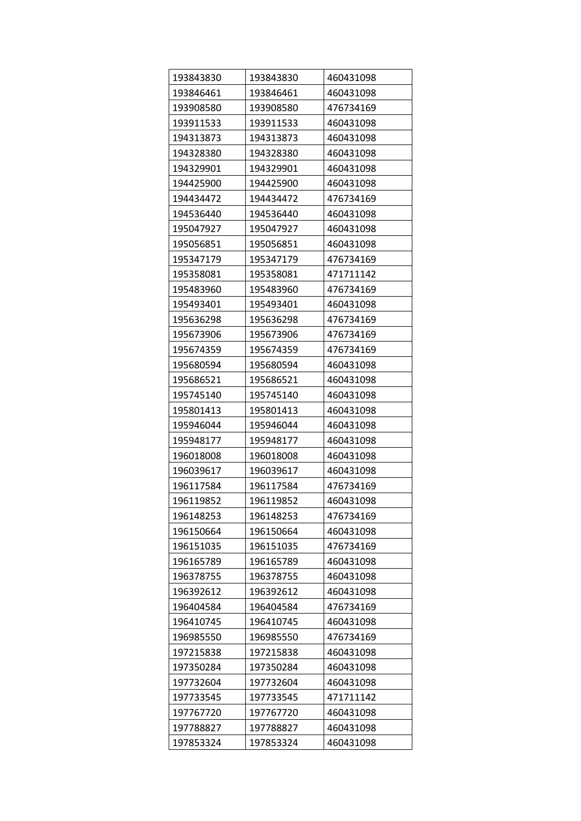| 193843830 | 193843830 | 460431098 |
|-----------|-----------|-----------|
| 193846461 | 193846461 | 460431098 |
| 193908580 | 193908580 | 476734169 |
| 193911533 | 193911533 | 460431098 |
| 194313873 | 194313873 | 460431098 |
| 194328380 | 194328380 | 460431098 |
| 194329901 | 194329901 | 460431098 |
| 194425900 | 194425900 | 460431098 |
| 194434472 | 194434472 | 476734169 |
| 194536440 | 194536440 | 460431098 |
| 195047927 | 195047927 | 460431098 |
| 195056851 | 195056851 | 460431098 |
| 195347179 | 195347179 | 476734169 |
| 195358081 | 195358081 | 471711142 |
| 195483960 | 195483960 | 476734169 |
| 195493401 | 195493401 | 460431098 |
| 195636298 | 195636298 | 476734169 |
| 195673906 | 195673906 | 476734169 |
| 195674359 | 195674359 | 476734169 |
| 195680594 | 195680594 | 460431098 |
| 195686521 | 195686521 | 460431098 |
| 195745140 | 195745140 | 460431098 |
| 195801413 | 195801413 | 460431098 |
| 195946044 | 195946044 | 460431098 |
| 195948177 | 195948177 | 460431098 |
| 196018008 | 196018008 | 460431098 |
| 196039617 | 196039617 | 460431098 |
| 196117584 | 196117584 | 476734169 |
| 196119852 | 196119852 | 460431098 |
| 196148253 | 196148253 | 476734169 |
| 196150664 | 196150664 | 460431098 |
| 196151035 | 196151035 | 476734169 |
| 196165789 | 196165789 | 460431098 |
| 196378755 | 196378755 | 460431098 |
| 196392612 | 196392612 | 460431098 |
| 196404584 | 196404584 | 476734169 |
| 196410745 | 196410745 | 460431098 |
| 196985550 | 196985550 | 476734169 |
| 197215838 | 197215838 | 460431098 |
| 197350284 | 197350284 | 460431098 |
| 197732604 | 197732604 | 460431098 |
| 197733545 | 197733545 | 471711142 |
| 197767720 | 197767720 | 460431098 |
| 197788827 | 197788827 | 460431098 |
| 197853324 | 197853324 | 460431098 |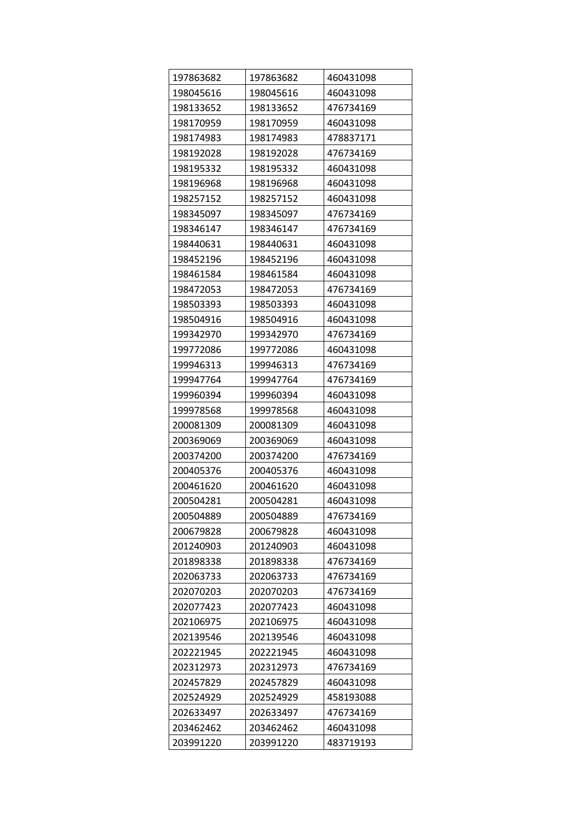| 197863682 | 197863682 | 460431098 |
|-----------|-----------|-----------|
| 198045616 | 198045616 | 460431098 |
| 198133652 | 198133652 | 476734169 |
| 198170959 | 198170959 | 460431098 |
| 198174983 | 198174983 | 478837171 |
| 198192028 | 198192028 | 476734169 |
| 198195332 | 198195332 | 460431098 |
| 198196968 | 198196968 | 460431098 |
| 198257152 | 198257152 | 460431098 |
| 198345097 | 198345097 | 476734169 |
| 198346147 | 198346147 | 476734169 |
| 198440631 | 198440631 | 460431098 |
| 198452196 | 198452196 | 460431098 |
| 198461584 | 198461584 | 460431098 |
| 198472053 | 198472053 | 476734169 |
| 198503393 | 198503393 | 460431098 |
| 198504916 | 198504916 | 460431098 |
| 199342970 | 199342970 | 476734169 |
| 199772086 | 199772086 | 460431098 |
| 199946313 | 199946313 | 476734169 |
| 199947764 | 199947764 | 476734169 |
| 199960394 | 199960394 | 460431098 |
| 199978568 | 199978568 | 460431098 |
| 200081309 | 200081309 | 460431098 |
| 200369069 | 200369069 | 460431098 |
| 200374200 | 200374200 | 476734169 |
| 200405376 | 200405376 | 460431098 |
| 200461620 | 200461620 | 460431098 |
| 200504281 | 200504281 | 460431098 |
| 200504889 | 200504889 | 476734169 |
| 200679828 | 200679828 | 460431098 |
| 201240903 | 201240903 | 460431098 |
| 201898338 | 201898338 | 476734169 |
| 202063733 | 202063733 | 476734169 |
| 202070203 | 202070203 | 476734169 |
| 202077423 | 202077423 | 460431098 |
| 202106975 | 202106975 | 460431098 |
| 202139546 | 202139546 | 460431098 |
| 202221945 | 202221945 | 460431098 |
| 202312973 | 202312973 | 476734169 |
| 202457829 | 202457829 | 460431098 |
| 202524929 | 202524929 | 458193088 |
| 202633497 | 202633497 | 476734169 |
| 203462462 | 203462462 | 460431098 |
| 203991220 | 203991220 | 483719193 |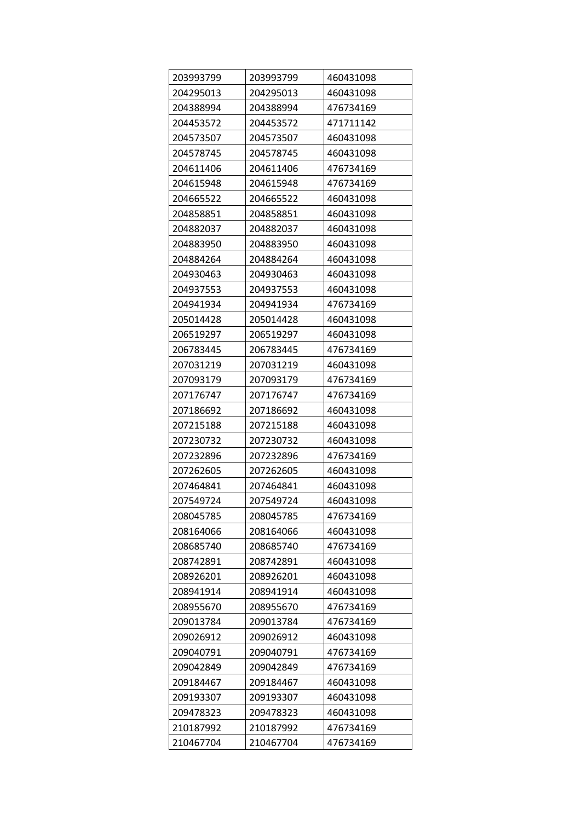| 203993799 | 203993799 | 460431098 |
|-----------|-----------|-----------|
| 204295013 | 204295013 | 460431098 |
| 204388994 | 204388994 | 476734169 |
| 204453572 | 204453572 | 471711142 |
| 204573507 | 204573507 | 460431098 |
| 204578745 | 204578745 | 460431098 |
| 204611406 | 204611406 | 476734169 |
| 204615948 | 204615948 | 476734169 |
| 204665522 | 204665522 | 460431098 |
| 204858851 | 204858851 | 460431098 |
| 204882037 | 204882037 | 460431098 |
| 204883950 | 204883950 | 460431098 |
| 204884264 | 204884264 | 460431098 |
| 204930463 | 204930463 | 460431098 |
| 204937553 | 204937553 | 460431098 |
| 204941934 | 204941934 | 476734169 |
| 205014428 | 205014428 | 460431098 |
| 206519297 | 206519297 | 460431098 |
| 206783445 | 206783445 | 476734169 |
| 207031219 | 207031219 | 460431098 |
| 207093179 | 207093179 | 476734169 |
| 207176747 | 207176747 | 476734169 |
| 207186692 | 207186692 | 460431098 |
| 207215188 | 207215188 | 460431098 |
| 207230732 | 207230732 | 460431098 |
| 207232896 | 207232896 | 476734169 |
| 207262605 | 207262605 | 460431098 |
| 207464841 | 207464841 | 460431098 |
| 207549724 | 207549724 | 460431098 |
| 208045785 | 208045785 | 476734169 |
| 208164066 | 208164066 | 460431098 |
| 208685740 | 208685740 | 476734169 |
| 208742891 | 208742891 | 460431098 |
| 208926201 | 208926201 | 460431098 |
| 208941914 | 208941914 | 460431098 |
| 208955670 | 208955670 | 476734169 |
| 209013784 | 209013784 | 476734169 |
| 209026912 | 209026912 | 460431098 |
| 209040791 | 209040791 | 476734169 |
| 209042849 | 209042849 | 476734169 |
| 209184467 | 209184467 | 460431098 |
| 209193307 | 209193307 | 460431098 |
| 209478323 | 209478323 | 460431098 |
| 210187992 | 210187992 | 476734169 |
| 210467704 | 210467704 | 476734169 |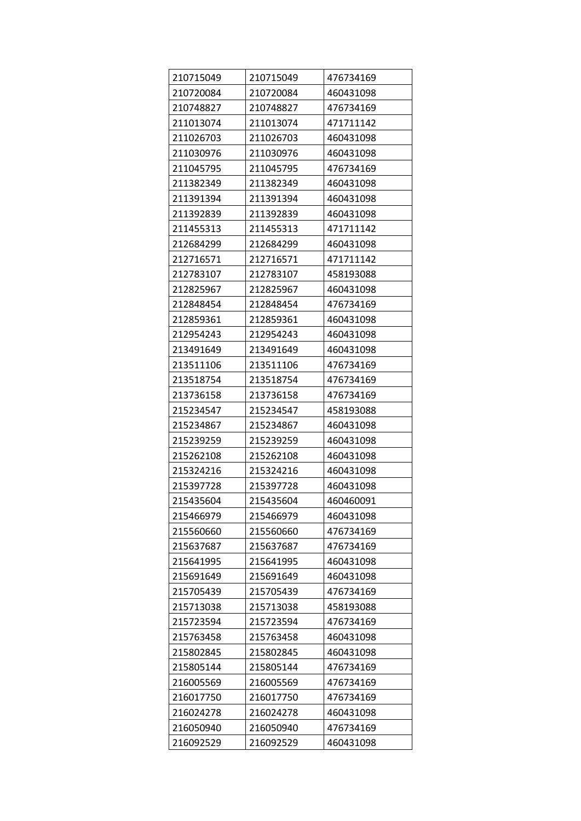| 210715049 | 210715049 | 476734169 |
|-----------|-----------|-----------|
| 210720084 | 210720084 | 460431098 |
| 210748827 | 210748827 | 476734169 |
| 211013074 | 211013074 | 471711142 |
| 211026703 | 211026703 | 460431098 |
| 211030976 | 211030976 | 460431098 |
| 211045795 | 211045795 | 476734169 |
| 211382349 | 211382349 | 460431098 |
| 211391394 | 211391394 | 460431098 |
| 211392839 | 211392839 | 460431098 |
| 211455313 | 211455313 | 471711142 |
| 212684299 | 212684299 | 460431098 |
| 212716571 | 212716571 | 471711142 |
| 212783107 | 212783107 | 458193088 |
| 212825967 | 212825967 | 460431098 |
| 212848454 | 212848454 | 476734169 |
| 212859361 | 212859361 | 460431098 |
| 212954243 | 212954243 | 460431098 |
| 213491649 | 213491649 | 460431098 |
| 213511106 | 213511106 | 476734169 |
| 213518754 | 213518754 | 476734169 |
| 213736158 | 213736158 | 476734169 |
| 215234547 | 215234547 | 458193088 |
| 215234867 | 215234867 | 460431098 |
| 215239259 | 215239259 | 460431098 |
| 215262108 | 215262108 | 460431098 |
| 215324216 | 215324216 | 460431098 |
| 215397728 | 215397728 | 460431098 |
| 215435604 | 215435604 | 460460091 |
| 215466979 | 215466979 | 460431098 |
| 215560660 | 215560660 | 476734169 |
| 215637687 | 215637687 | 476734169 |
| 215641995 | 215641995 | 460431098 |
| 215691649 | 215691649 | 460431098 |
| 215705439 | 215705439 | 476734169 |
| 215713038 | 215713038 | 458193088 |
| 215723594 | 215723594 | 476734169 |
| 215763458 | 215763458 | 460431098 |
| 215802845 | 215802845 | 460431098 |
| 215805144 | 215805144 | 476734169 |
| 216005569 | 216005569 | 476734169 |
| 216017750 | 216017750 | 476734169 |
| 216024278 | 216024278 | 460431098 |
| 216050940 | 216050940 | 476734169 |
| 216092529 | 216092529 | 460431098 |